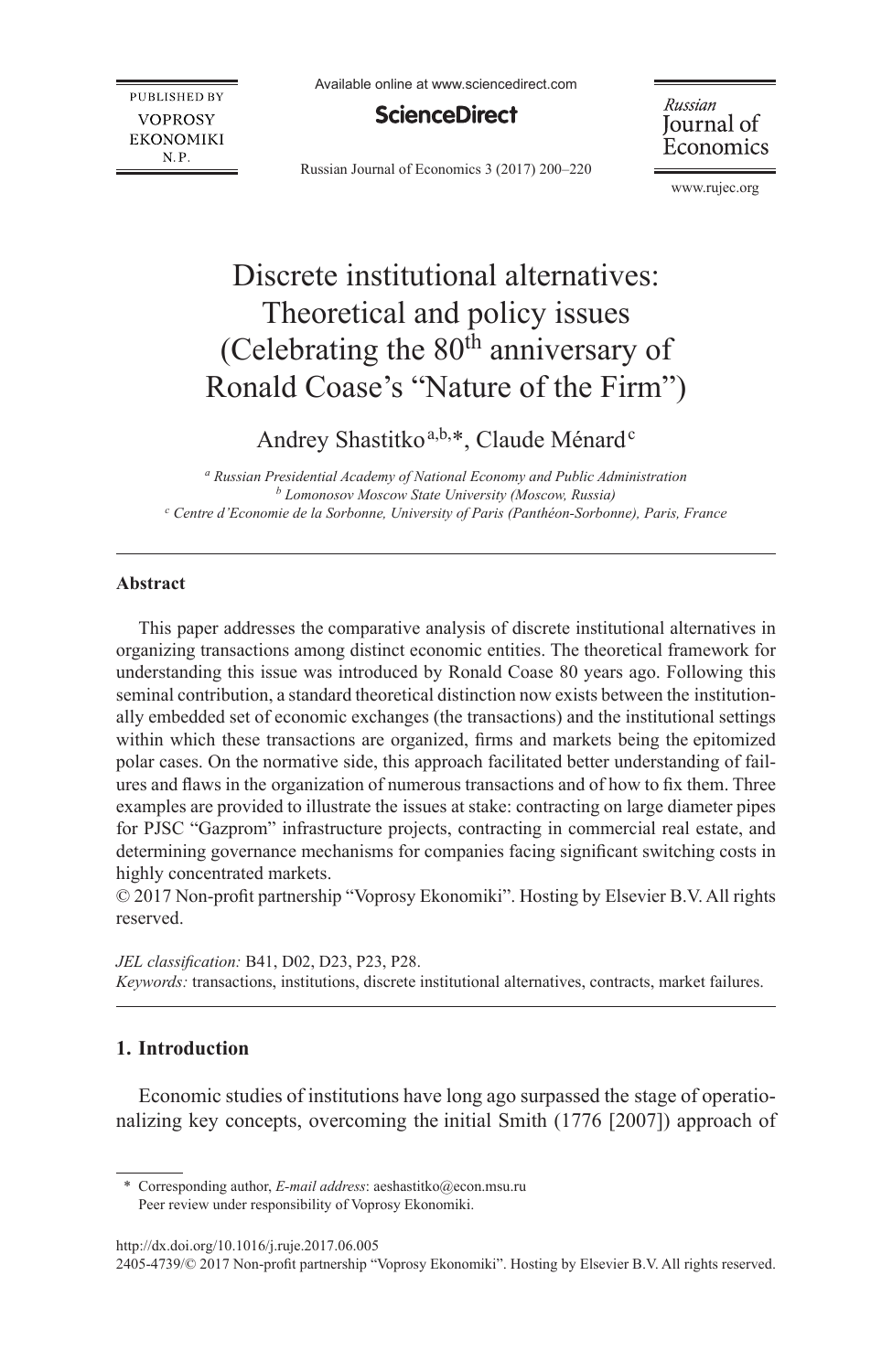**PUBLISHED BY VOPROSY EKONOMIKI**  $N.P.$ 

Available online at www.sciencedirect.com

# **ScienceDirect**

Russian Journal of Economics 3 (2017) 200–220

Russian Journal of Economics

[www.rujec.org](http://www.rujec.org)

# Discrete institutional alternatives: Theoretical and policy issues (Celebrating the  $80<sup>th</sup>$  anniversary of Ronald Coase's "Nature of the Firm")

Andrey Shastitko<sup>a,b,\*</sup>, Claude Ménard<sup>c</sup>

*a Russian Presidential Academy of National Economy and Public Administration b Lomonosov Moscow State University (Moscow, Russia)* <sup>c</sup> Centre d'Economie de la Sorbonne, University of Paris (Panthéon-Sorbonne), Paris, France

### **Abstract**

This paper addresses the comparative analysis of discrete institutional alternatives in organizing transactions among distinct economic entities. The theoretical framework for understanding this issue was introduced by Ronald Coase 80 years ago. Following this seminal contribution, a standard theoretical distinction now exists between the institutionally embedded set of economic exchanges (the transactions) and the institutional settings within which these transactions are organized, firms and markets being the epitomized polar cases. On the normative side, this approach facilitated better understanding of failures and flaws in the organization of numerous transactions and of how to fix them. Three examples are provided to illustrate the issues at stake: contracting on large diameter pipes for PJSC "Gazprom" infrastructure projects, contracting in commercial real estate, and determining governance mechanisms for companies facing significant switching costs in highly concentrated markets.

© 2017 Non-profit partnership "Voprosy Ekonomiki". Hosting by Elsevier B.V. All rights reserved.

*JEL classification:* B41, D02, D23, P23, P28. *Keywords:* transactions, institutions, discrete institutional alternatives, contracts, market failures.

# **1. Introduction**

Economic studies of institutions have long ago surpassed the stage of operationalizing key concepts, overcoming the initial Smith (1776 [2007]) approach of

\* Corresponding author, *E-mail address*: aeshastitko@econ.msu.ru Peer review under responsibility of Voprosy Ekonomiki.

http://dx.doi.org/10.1016/j.ruje.2017.06.005

2405-4739/© 2017 Non-profit partnership "Voprosy Ekonomiki". Hosting by Elsevier B.V. All rights reserved.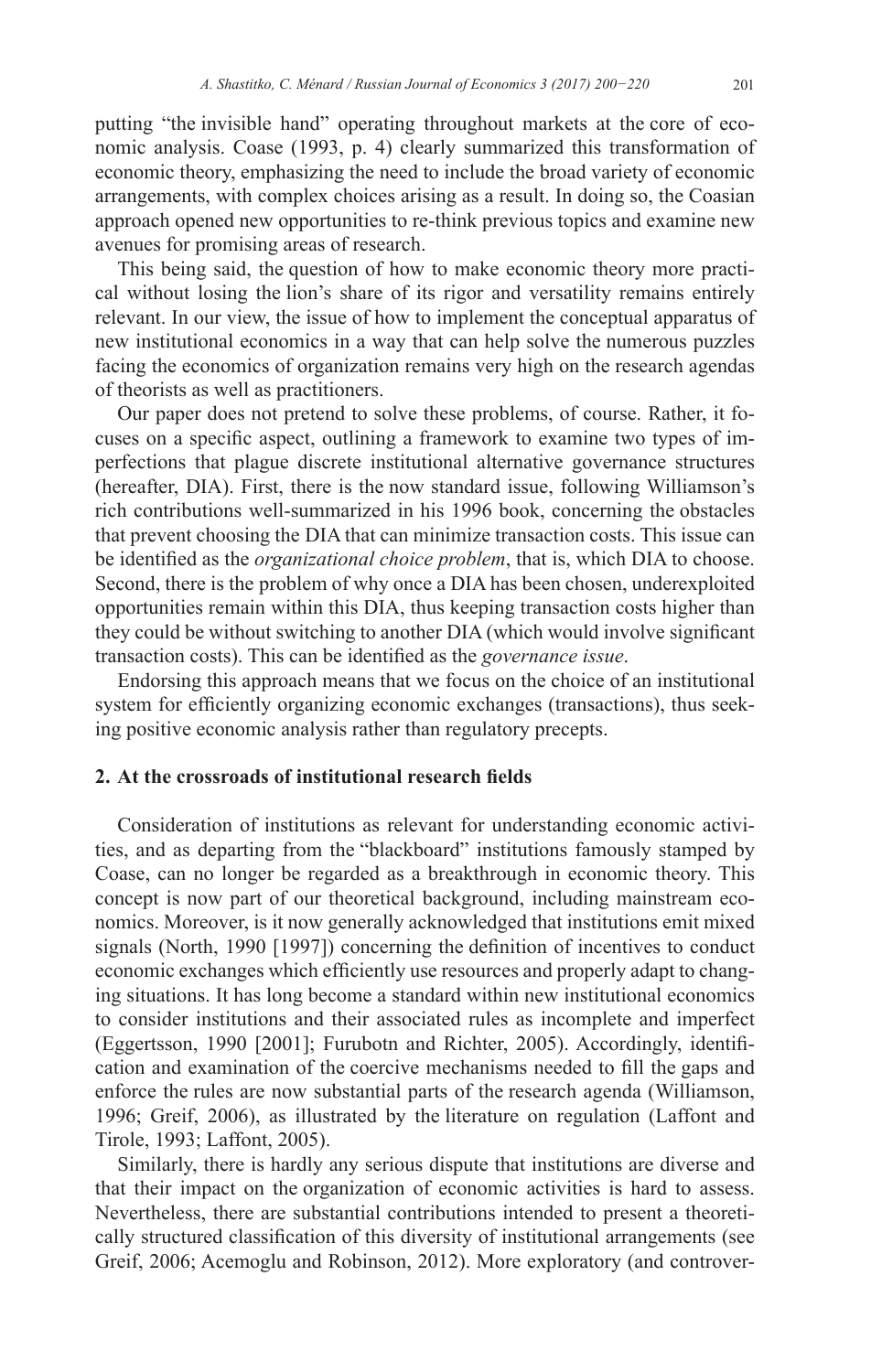putting "the invisible hand" operating throughout markets at the core of economic analysis. Coase (1993, p. 4) clearly summarized this transformation of economic theory, emphasizing the need to include the broad variety of economic arrangements, with complex choices arising as a result. In doing so, the Coasian approach opened new opportunities to re-think previous topics and examine new avenues for promising areas of research.

This being said, the question of how to make economic theory more practical without losing the lion's share of its rigor and versatility remains entirely relevant. In our view, the issue of how to implement the conceptual apparatus of new institutional economics in a way that can help solve the numerous puzzles facing the economics of organization remains very high on the research agendas of theorists as well as practitioners.

Our paper does not pretend to solve these problems, of course. Rather, it focuses on a specific aspect, outlining a framework to examine two types of imperfections that plague discrete institutional alternative governance structures (hereafter, DIA). First, there is the now standard issue, following Williamson's rich contributions well-summarized in his 1996 book, concerning the obstacles that prevent choosing the DIA that can minimize transaction costs. This issue can be identified as the *organizational choice problem*, that is, which DIA to choose. Second, there is the problem of why once a DIA has been chosen, underexploited opportunities remain within this DIA, thus keeping transaction costs higher than they could be without switching to another DIA (which would involve significant transaction costs). This can be identified as the *governance issue*.

Endorsing this approach means that we focus on the choice of an institutional system for efficiently organizing economic exchanges (transactions), thus seeking positive economic analysis rather than regulatory precepts.

## **2. At the crossroads of institutional research fields**

Consideration of institutions as relevant for understanding economic activities, and as departing from the "blackboard" institutions famously stamped by Coase, can no longer be regarded as a breakthrough in economic theory. This concept is now part of our theoretical background, including mainstream economics. Moreover, is it now generally acknowledged that institutions emit mixed signals (North, 1990 [1997]) concerning the definition of incentives to conduct economic exchanges which efficiently use resources and properly adapt to changing situations. It has long become a standard within new institutional economics to consider institutions and their associated rules as incomplete and imperfect (Eggertsson, 1990 [2001]; Furubotn and Richter, 2005). Accordingly, identification and examination of the coercive mechanisms needed to fill the gaps and enforce the rules are now substantial parts of the research agenda (Williamson, 1996; Greif, 2006), as illustrated by the literature on regulation (Laffont and Tirole, 1993; Laffont, 2005).

Similarly, there is hardly any serious dispute that institutions are diverse and that their impact on the organization of economic activities is hard to assess. Nevertheless, there are substantial contributions intended to present a theoretically structured classification of this diversity of institutional arrangements (see Greif, 2006; Acemoglu and Robinson, 2012). More exploratory (and controver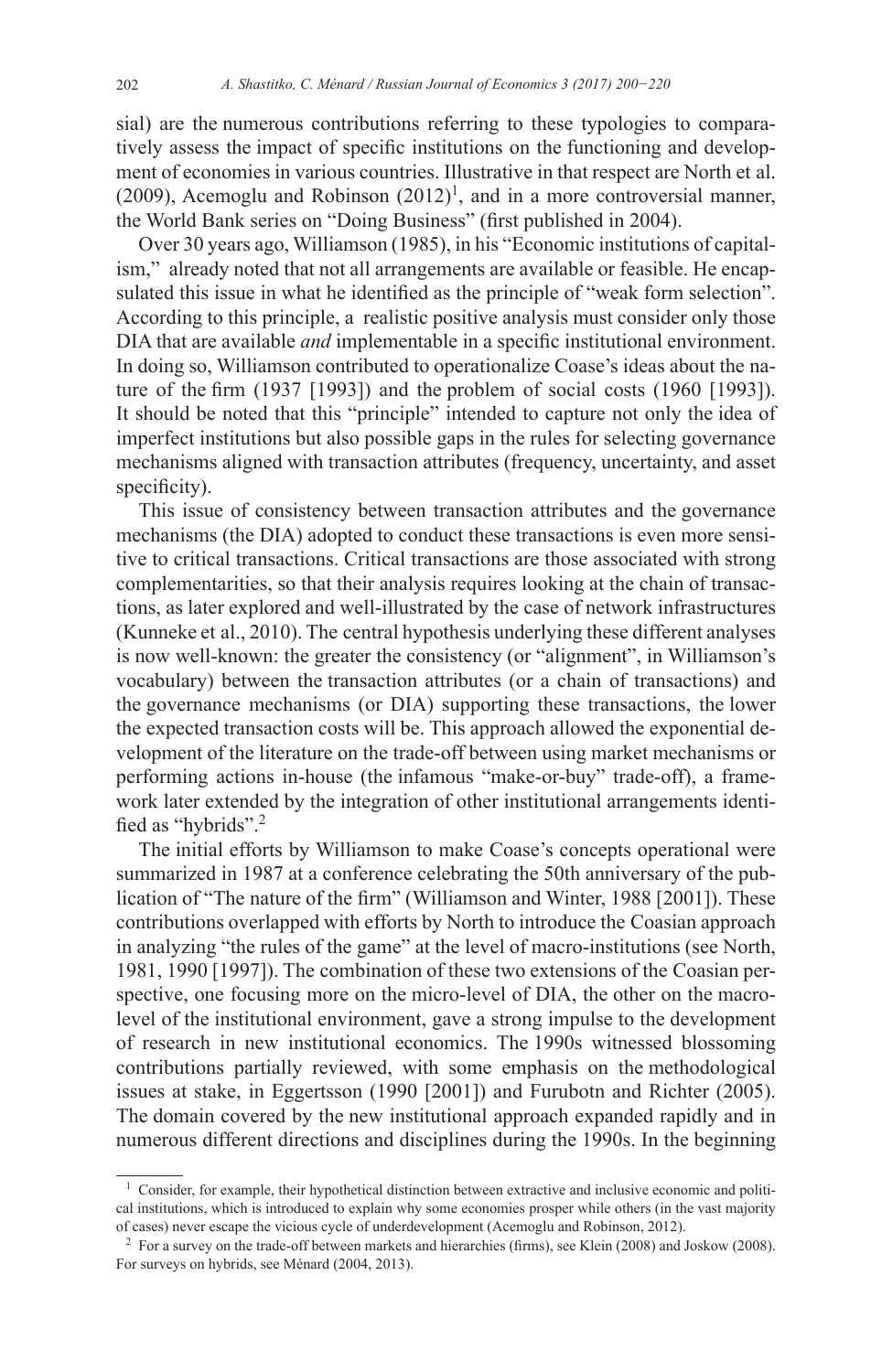sial) are the numerous contributions referring to these typologies to comparatively assess the impact of specific institutions on the functioning and development of economies in various countries. Illustrative in that respect are North et al. (2009), Acemoglu and Robinson  $(2012)^1$ , and in a more controversial manner, the World Bank series on "Doing Business" (first published in 2004).

Over 30 years ago, Williamson (1985), in his "Economic institutions of capitalism," already noted that not all arrangements are available or feasible. He encapsulated this issue in what he identified as the principle of "weak form selection". According to this principle, a realistic positive analysis must consider only those DIA that are available *and* implementable in a specific institutional environment. In doing so, Williamson contributed to operationalize Coase's ideas about the nature of the firm (1937 [1993]) and the problem of social costs (1960 [1993]). It should be noted that this "principle" intended to capture not only the idea of imperfect institutions but also possible gaps in the rules for selecting governance mechanisms aligned with transaction attributes (frequency, uncertainty, and asset specificity).

This issue of consistency between transaction attributes and the governance mechanisms (the DIA) adopted to conduct these transactions is even more sensitive to critical transactions. Critical transactions are those associated with strong complementarities, so that their analysis requires looking at the chain of transactions, as later explored and well-illustrated by the case of network infrastructures (Kunneke et al., 2010). The central hypothesis underlying these different analyses is now well-known: the greater the consistency (or "alignment", in Williamson's vocabulary) between the transaction attributes (or a chain of transactions) and the governance mechanisms (or DIA) supporting these transactions, the lower the expected transaction costs will be. This approach allowed the exponential development of the literature on the trade-off between using market mechanisms or performing actions in-house (the infamous "make-or-buy" trade-off), a framework later extended by the integration of other institutional arrangements identified as "hybrids".<sup>2</sup>

The initial efforts by Williamson to make Coase's concepts operational were summarized in 1987 at a conference celebrating the 50th anniversary of the publication of "The nature of the firm" (Williamson and Winter, 1988 [2001]). These contributions overlapped with efforts by North to introduce the Coasian approach in analyzing "the rules of the game" at the level of macro-institutions (see North, 1981, 1990 [1997]). The combination of these two extensions of the Coasian perspective, one focusing more on the micro-level of DIA, the other on the macrolevel of the institutional environment, gave a strong impulse to the development of research in new institutional economics. The 1990s witnessed blossoming contributions partially reviewed, with some emphasis on the methodological issues at stake, in Eggertsson (1990 [2001]) and Furubotn and Richter (2005). The domain covered by the new institutional approach expanded rapidly and in numerous different directions and disciplines during the 1990s. In the beginning

<sup>&</sup>lt;sup>1</sup> Consider, for example, their hypothetical distinction between extractive and inclusive economic and political institutions, which is introduced to explain why some economies prosper while others (in the vast majority of cases) never escape the vicious cycle of underdevelopment (Acemoglu and Robinson, 2012).

<sup>2</sup> For a survey on the trade-off between markets and hierarchies (firms), see Klein (2008) and Joskow (2008). For surveys on hybrids, see Ménard (2004, 2013).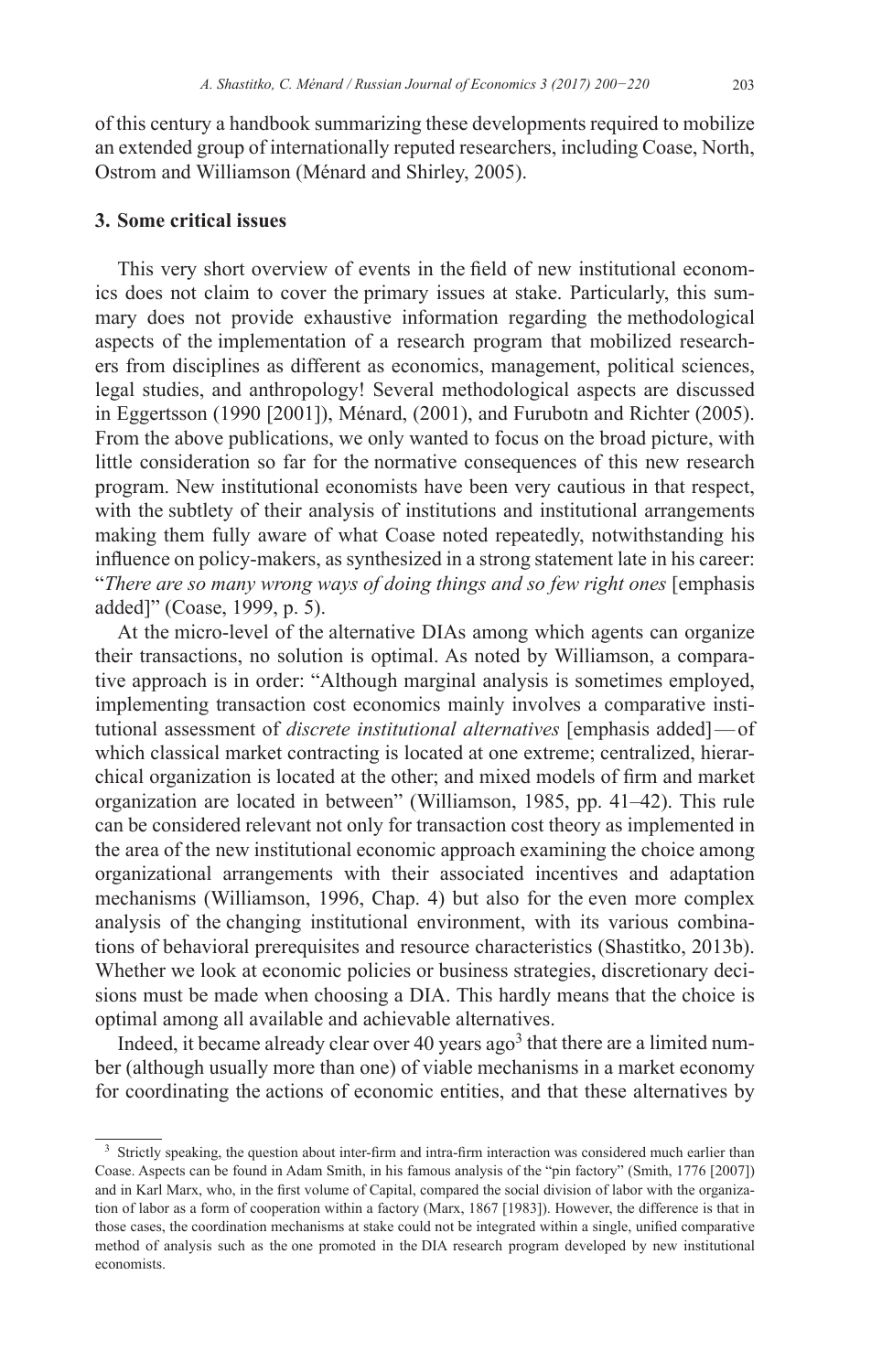of this century a handbook summarizing these developments required to mobilize an extended group of internationally reputed researchers, including Coase, North, Ostrom and Williamson (Ménard and Shirley, 2005).

## **3. Some critical issues**

This very short overview of events in the field of new institutional economics does not claim to cover the primary issues at stake. Particularly, this summary does not provide exhaustive information regarding the methodological aspects of the implementation of a research program that mobilized researchers from disciplines as different as economics, management, political sciences, legal studies, and anthropology! Several methodological aspects are discussed in Eggertsson (1990 [2001]), Ménard, (2001), and Furubotn and Richter (2005). From the above publications, we only wanted to focus on the broad picture, with little consideration so far for the normative consequences of this new research program. New institutional economists have been very cautious in that respect, with the subtlety of their analysis of institutions and institutional arrangements making them fully aware of what Coase noted repeatedly, notwithstanding his influence on policy-makers, as synthesized in a strong statement late in his career: "*There are so many wrong ways of doing things and so few right ones* [emphasis added]" (Coase, 1999, p. 5).

At the micro-level of the alternative DIAs among which agents can organize their transactions, no solution is optimal. As noted by Williamson, a comparative approach is in order: "Although marginal analysis is sometimes employed, implementing transaction cost economics mainly involves a comparative institutional assessment of *discrete institutional alternatives* [emphasis added]—of which classical market contracting is located at one extreme; centralized, hierarchical organization is located at the other; and mixed models of firm and market organization are located in between" (Williamson, 1985, pp. 41–42). This rule can be considered relevant not only for transaction cost theory as implemented in the area of the new institutional economic approach examining the choice among organizational arrangements with their associated incentives and adaptation mechanisms (Williamson, 1996, Chap. 4) but also for the even more complex analysis of the changing institutional environment, with its various combinations of behavioral prerequisites and resource characteristics (Shastitko, 2013b). Whether we look at economic policies or business strategies, discretionary decisions must be made when choosing a DIA. This hardly means that the choice is optimal among all available and achievable alternatives.

Indeed, it became already clear over 40 years  $ago<sup>3</sup>$  that there are a limited number (although usually more than one) of viable mechanisms in a market economy for coordinating the actions of economic entities, and that these alternatives by

<sup>&</sup>lt;sup>3</sup> Strictly speaking, the question about inter-firm and intra-firm interaction was considered much earlier than Coase. Aspects can be found in Adam Smith, in his famous analysis of the "pin factory" (Smith, 1776 [2007]) and in Karl Marx, who, in the first volume of Capital, compared the social division of labor with the organization of labor as a form of cooperation within a factory (Marx, 1867 [1983]). However, the difference is that in those cases, the coordination mechanisms at stake could not be integrated within a single, unified comparative method of analysis such as the one promoted in the DIA research program developed by new institutional economists.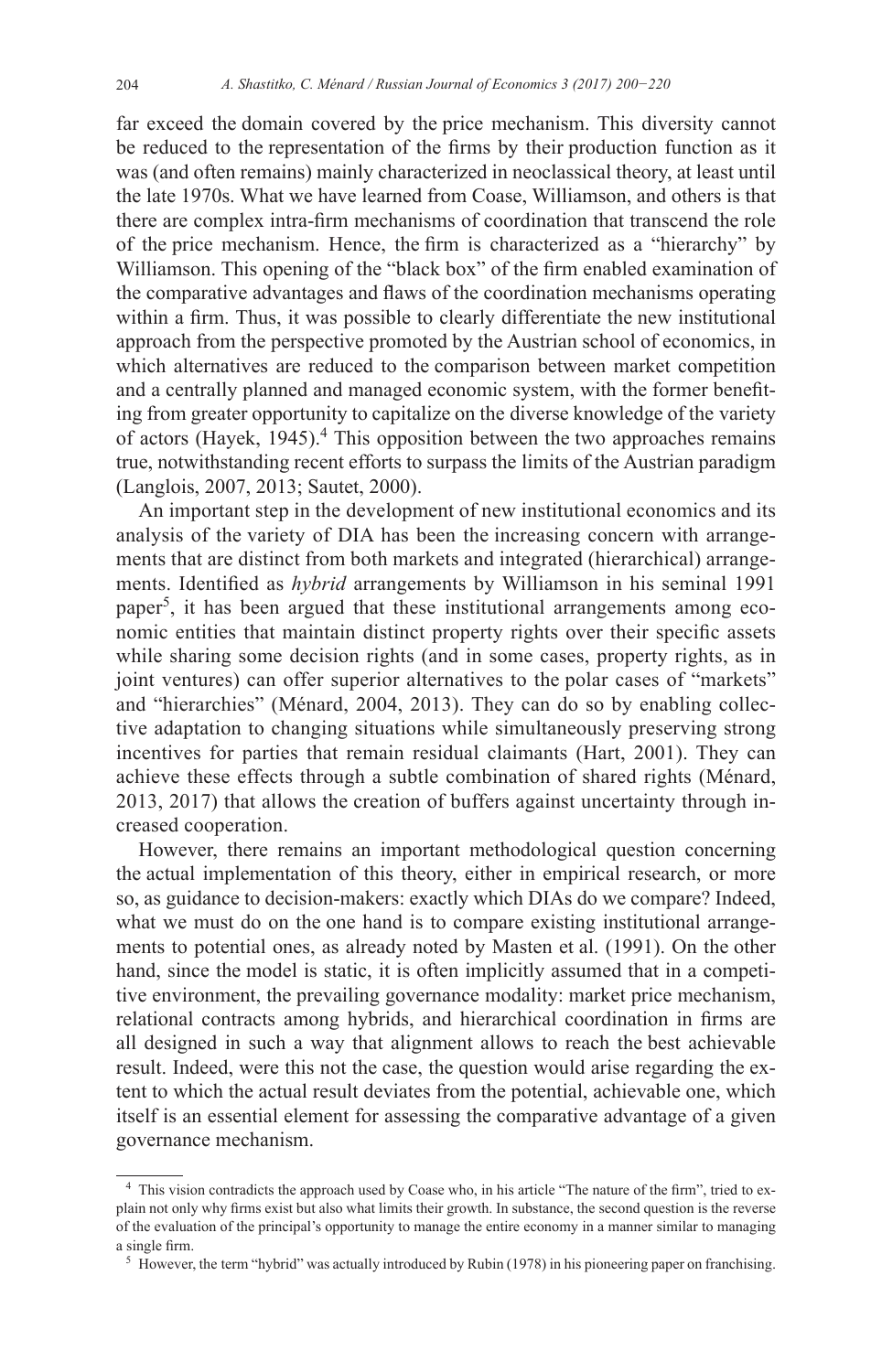far exceed the domain covered by the price mechanism. This diversity cannot be reduced to the representation of the firms by their production function as it was (and often remains) mainly characterized in neoclassical theory, at least until the late 1970s. What we have learned from Coase, Williamson, and others is that there are complex intra-firm mechanisms of coordination that transcend the role of the price mechanism. Hence, the firm is characterized as a "hierarchy" by Williamson. This opening of the "black box" of the firm enabled examination of the comparative advantages and flaws of the coordination mechanisms operating within a firm. Thus, it was possible to clearly differentiate the new institutional approach from the perspective promoted by the Austrian school of economics, in which alternatives are reduced to the comparison between market competition and a centrally planned and managed economic system, with the former benefiting from greater opportunity to capitalize on the diverse knowledge of the variety of actors (Hayek, 1945).<sup>4</sup> This opposition between the two approaches remains true, notwithstanding recent efforts to surpass the limits of the Austrian paradigm (Langlois, 2007, 2013; Sautet, 2000).

An important step in the development of new institutional economics and its analysis of the variety of DIA has been the increasing concern with arrangements that are distinct from both markets and integrated (hierarchical) arrangements. Identified as *hybrid* arrangements by Williamson in his seminal 1991 paper5, it has been argued that these institutional arrangements among economic entities that maintain distinct property rights over their specific assets while sharing some decision rights (and in some cases, property rights, as in joint ventures) can offer superior alternatives to the polar cases of "markets" and "hierarchies" (Ménard, 2004, 2013). They can do so by enabling collective adaptation to changing situations while simultaneously preserving strong incentives for parties that remain residual claimants (Hart, 2001). They can achieve these effects through a subtle combination of shared rights (Ménard, 2013, 2017) that allows the creation of buffers against uncertainty through increased cooperation.

However, there remains an important methodological question concerning the actual implementation of this theory, either in empirical research, or more so, as guidance to decision-makers: exactly which DIAs do we compare? Indeed, what we must do on the one hand is to compare existing institutional arrangements to potential ones, as already noted by Masten et al. (1991). On the other hand, since the model is static, it is often implicitly assumed that in a competitive environment, the prevailing governance modality: market price mechanism, relational contracts among hybrids, and hierarchical coordination in firms are all designed in such a way that alignment allows to reach the best achievable result. Indeed, were this not the case, the question would arise regarding the extent to which the actual result deviates from the potential, achievable one, which itself is an essential element for assessing the comparative advantage of a given governance mechanism.

<sup>&</sup>lt;sup>4</sup> This vision contradicts the approach used by Coase who, in his article "The nature of the firm", tried to explain not only why firms exist but also what limits their growth. In substance, the second question is the reverse of the evaluation of the principal's opportunity to manage the entire economy in a manner similar to managing a single firm.

<sup>&</sup>lt;sup>5</sup> However, the term "hybrid" was actually introduced by Rubin (1978) in his pioneering paper on franchising.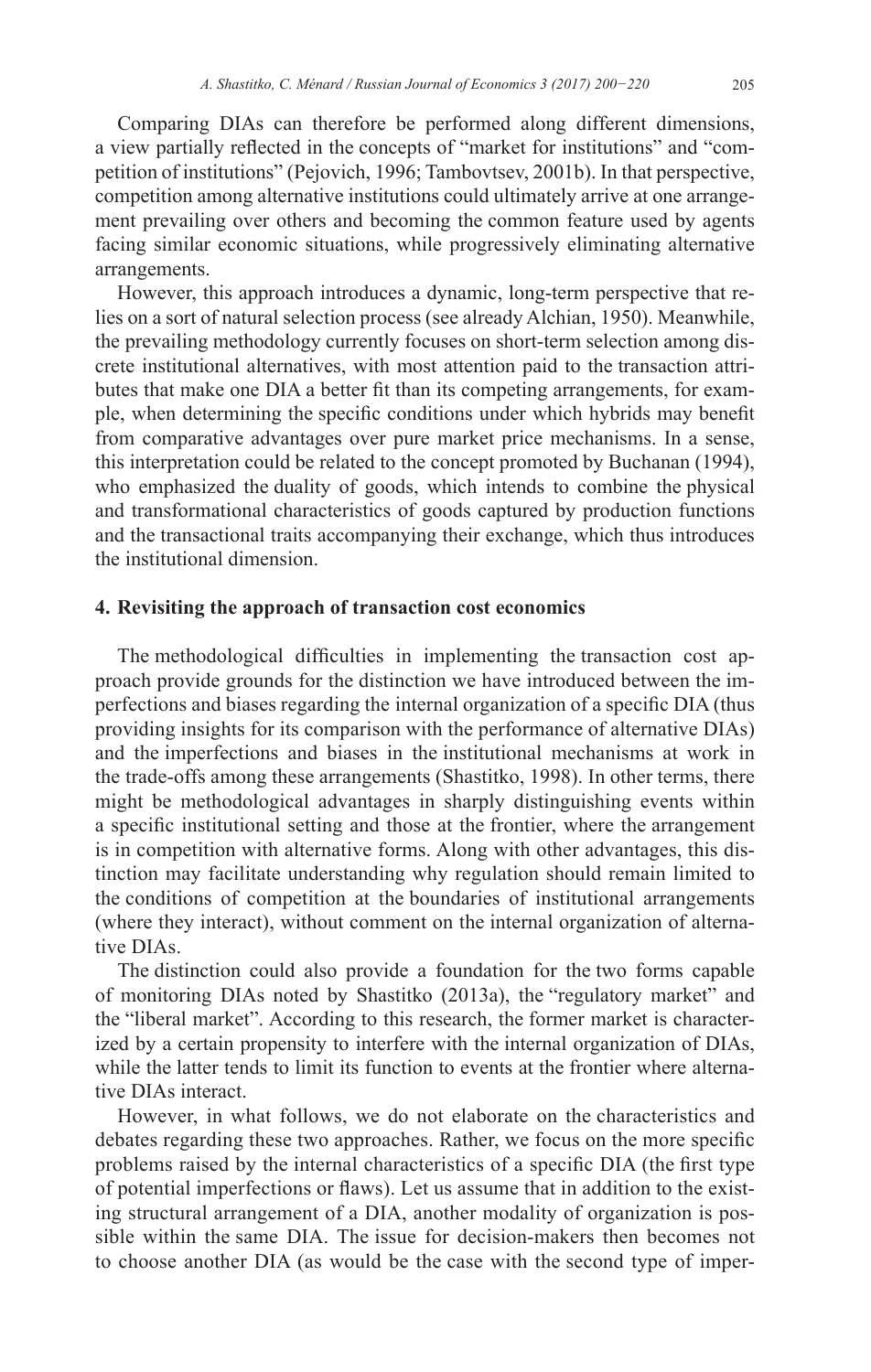Comparing DIAs can therefore be performed along different dimensions, a view partially reflected in the concepts of "market for institutions" and "competition of institutions" (Pejovich, 1996; Tambovtsev, 2001b). In that perspective, competition among alternative institutions could ultimately arrive at one arrangement prevailing over others and becoming the common feature used by agents facing similar economic situations, while progressively eliminating alternative arrangements.

However, this approach introduces a dynamic, long-term perspective that relies on a sort of natural selection process (see already Alchian, 1950). Meanwhile, the prevailing methodology currently focuses on short-term selection among discrete institutional alternatives, with most attention paid to the transaction attributes that make one DIA a better fit than its competing arrangements, for example, when determining the specific conditions under which hybrids may benefit from comparative advantages over pure market price mechanisms. In a sense, this interpretation could be related to the concept promoted by Buchanan (1994), who emphasized the duality of goods, which intends to combine the physical and transformational characteristics of goods captured by production functions and the transactional traits accompanying their exchange, which thus introduces the institutional dimension.

#### **4. Revisiting the approach of transaction cost economics**

The methodological difficulties in implementing the transaction cost approach provide grounds for the distinction we have introduced between the imperfections and biases regarding the internal organization of a specific DIA (thus providing insights for its comparison with the performance of alternative DIAs) and the imperfections and biases in the institutional mechanisms at work in the trade-offs among these arrangements (Shastitko, 1998). In other terms, there might be methodological advantages in sharply distinguishing events within a specific institutional setting and those at the frontier, where the arrangement is in competition with alternative forms. Along with other advantages, this distinction may facilitate understanding why regulation should remain limited to the conditions of competition at the boundaries of institutional arrangements (where they interact), without comment on the internal organization of alternative DIAs.

The distinction could also provide a foundation for the two forms capable of monitoring DIAs noted by Shastitko (2013a), the "regulatory market" and the "liberal market". According to this research, the former market is characterized by a certain propensity to interfere with the internal organization of DIAs, while the latter tends to limit its function to events at the frontier where alternative DIAs interact.

However, in what follows, we do not elaborate on the characteristics and debates regarding these two approaches. Rather, we focus on the more specific problems raised by the internal characteristics of a specific DIA (the first type of potential imperfections or flaws). Let us assume that in addition to the existing structural arrangement of a DIA, another modality of organization is possible within the same DIA. The issue for decision-makers then becomes not to choose another DIA (as would be the case with the second type of imper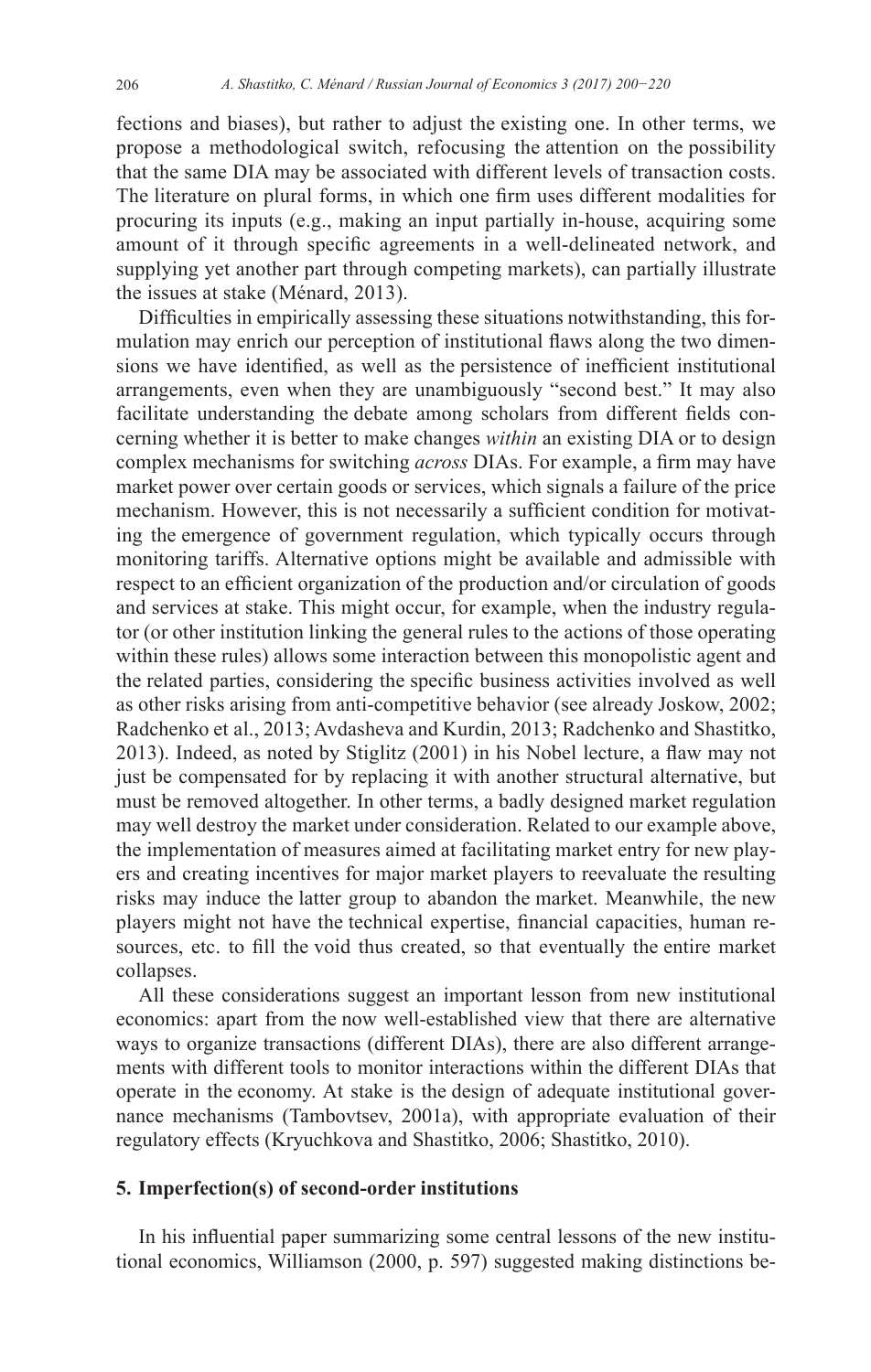fections and biases), but rather to adjust the existing one. In other terms, we propose a methodological switch, refocusing the attention on the possibility that the same DIA may be associated with different levels of transaction costs. The literature on plural forms, in which one firm uses different modalities for procuring its inputs (e.g., making an input partially in-house, acquiring some amount of it through specific agreements in a well-delineated network, and supplying yet another part through competing markets), can partially illustrate the issues at stake (Ménard, 2013).

Difficulties in empirically assessing these situations notwithstanding, this formulation may enrich our perception of institutional flaws along the two dimensions we have identified, as well as the persistence of inefficient institutional arrangements, even when they are unambiguously "second best." It may also facilitate understanding the debate among scholars from different fields concerning whether it is better to make changes *within* an existing DIA or to design complex mechanisms for switching *across* DIAs. For example, a firm may have market power over certain goods or services, which signals a failure of the price mechanism. However, this is not necessarily a sufficient condition for motivating the emergence of government regulation, which typically occurs through monitoring tariffs. Alternative options might be available and admissible with respect to an efficient organization of the production and/or circulation of goods and services at stake. This might occur, for example, when the industry regulator (or other institution linking the general rules to the actions of those operating within these rules) allows some interaction between this monopolistic agent and the related parties, considering the specific business activities involved as well as other risks arising from anti-competitive behavior (see already Joskow, 2002; Radchenko et al., 2013; Avdasheva and Kurdin, 2013; Radchenko and Shastitko, 2013). Indeed, as noted by Stiglitz (2001) in his Nobel lecture, a flaw may not just be compensated for by replacing it with another structural alternative, but must be removed altogether. In other terms, a badly designed market regulation may well destroy the market under consideration. Related to our example above, the implementation of measures aimed at facilitating market entry for new players and creating incentives for major market players to reevaluate the resulting risks may induce the latter group to abandon the market. Meanwhile, the new players might not have the technical expertise, financial capacities, human resources, etc. to fill the void thus created, so that eventually the entire market collapses.

All these considerations suggest an important lesson from new institutional economics: apart from the now well-established view that there are alternative ways to organize transactions (different DIAs), there are also different arrangements with different tools to monitor interactions within the different DIAs that operate in the economy. At stake is the design of adequate institutional governance mechanisms (Tambovtsev, 2001a), with appropriate evaluation of their regulatory effects (Kryuchkova and Shastitko, 2006; Shastitko, 2010).

#### **5. Imperfection(s) of second-order institutions**

In his influential paper summarizing some central lessons of the new institutional economics, Williamson (2000, p. 597) suggested making distinctions be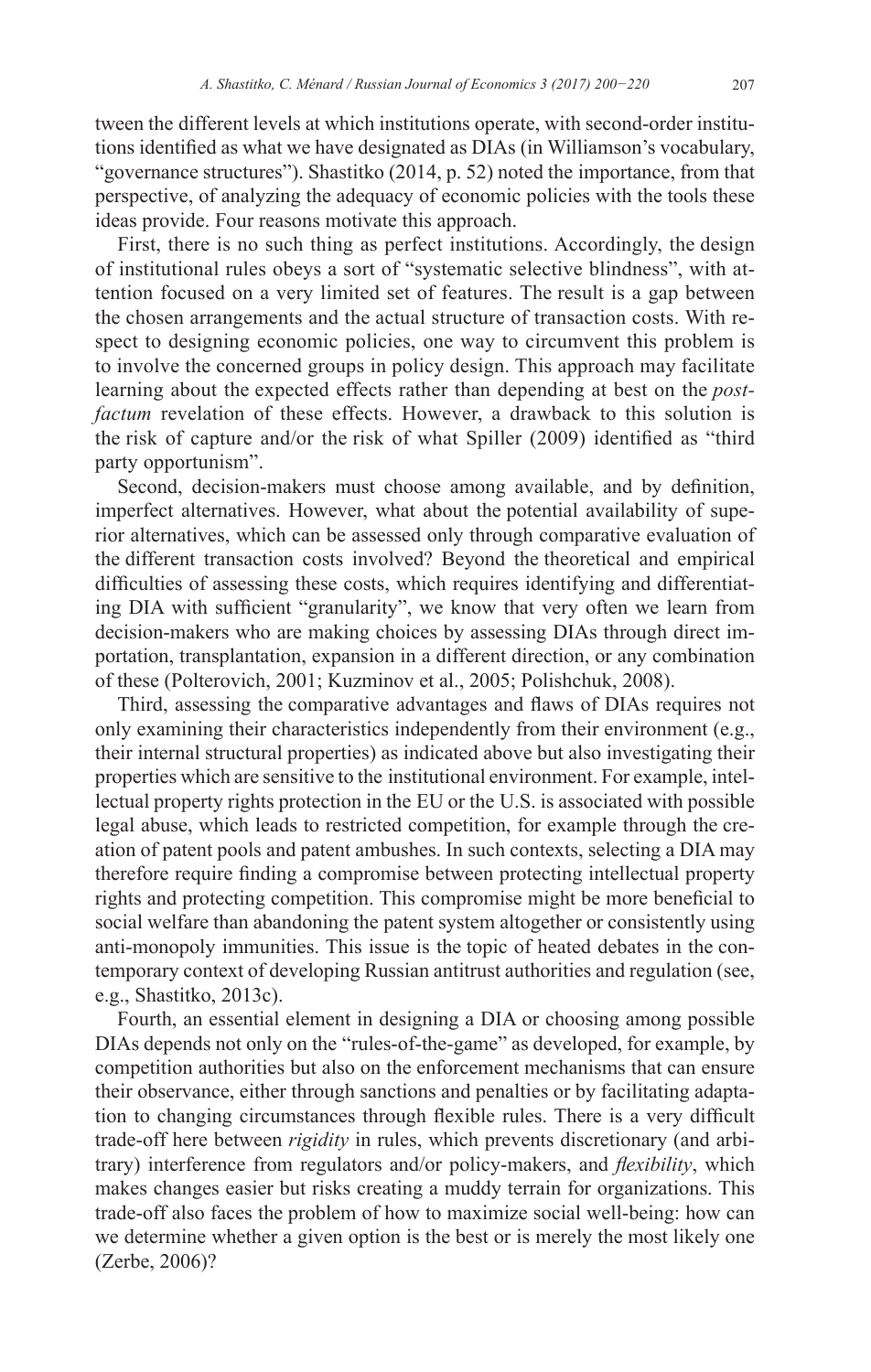tween the different levels at which institutions operate, with second-order institutions identified as what we have designated as DIAs (in Williamson's vocabulary, "governance structures"). Shastitko (2014, p. 52) noted the importance, from that perspective, of analyzing the adequacy of economic policies with the tools these ideas provide. Four reasons motivate this approach.

First, there is no such thing as perfect institutions. Accordingly, the design of institutional rules obeys a sort of "systematic selective blindness", with attention focused on a very limited set of features. The result is a gap between the chosen arrangements and the actual structure of transaction costs. With respect to designing economic policies, one way to circumvent this problem is to involve the concerned groups in policy design. This approach may facilitate learning about the expected effects rather than depending at best on the *postfactum* revelation of these effects. However, a drawback to this solution is the risk of capture and/or the risk of what Spiller (2009) identified as "third party opportunism".

Second, decision-makers must choose among available, and by definition, imperfect alternatives. However, what about the potential availability of superior alternatives, which can be assessed only through comparative evaluation of the different transaction costs involved? Beyond the theoretical and empirical difficulties of assessing these costs, which requires identifying and differentiating DIA with sufficient "granularity", we know that very often we learn from decision-makers who are making choices by assessing DIAs through direct importation, transplantation, expansion in a different direction, or any combination of these (Polterovich, 2001; Kuzminov et al., 2005; Polishchuk, 2008).

Third, assessing the comparative advantages and flaws of DIAs requires not only examining their characteristics independently from their environment (e.g., their internal structural properties) as indicated above but also investigating their properties which are sensitive to the institutional environment. For example, intellectual property rights protection in the EU or the U.S. is associated with possible legal abuse, which leads to restricted competition, for example through the creation of patent pools and patent ambushes. In such contexts, selecting a DIA may therefore require finding a compromise between protecting intellectual property rights and protecting competition. This compromise might be more beneficial to social welfare than abandoning the patent system altogether or consistently using anti-monopoly immunities. This issue is the topic of heated debates in the contemporary context of developing Russian antitrust authorities and regulation (see, e.g., Shastitko, 2013c).

Fourth, an essential element in designing a DIA or choosing among possible DIAs depends not only on the "rules-of-the-game" as developed, for example, by competition authorities but also on the enforcement mechanisms that can ensure their observance, either through sanctions and penalties or by facilitating adaptation to changing circumstances through flexible rules. There is a very difficult trade-off here between *rigidity* in rules, which prevents discretionary (and arbitrary) interference from regulators and/or policy-makers, and *flexibility*, which makes changes easier but risks creating a muddy terrain for organizations. This trade-off also faces the problem of how to maximize social well-being: how can we determine whether a given option is the best or is merely the most likely one (Zerbe, 2006)?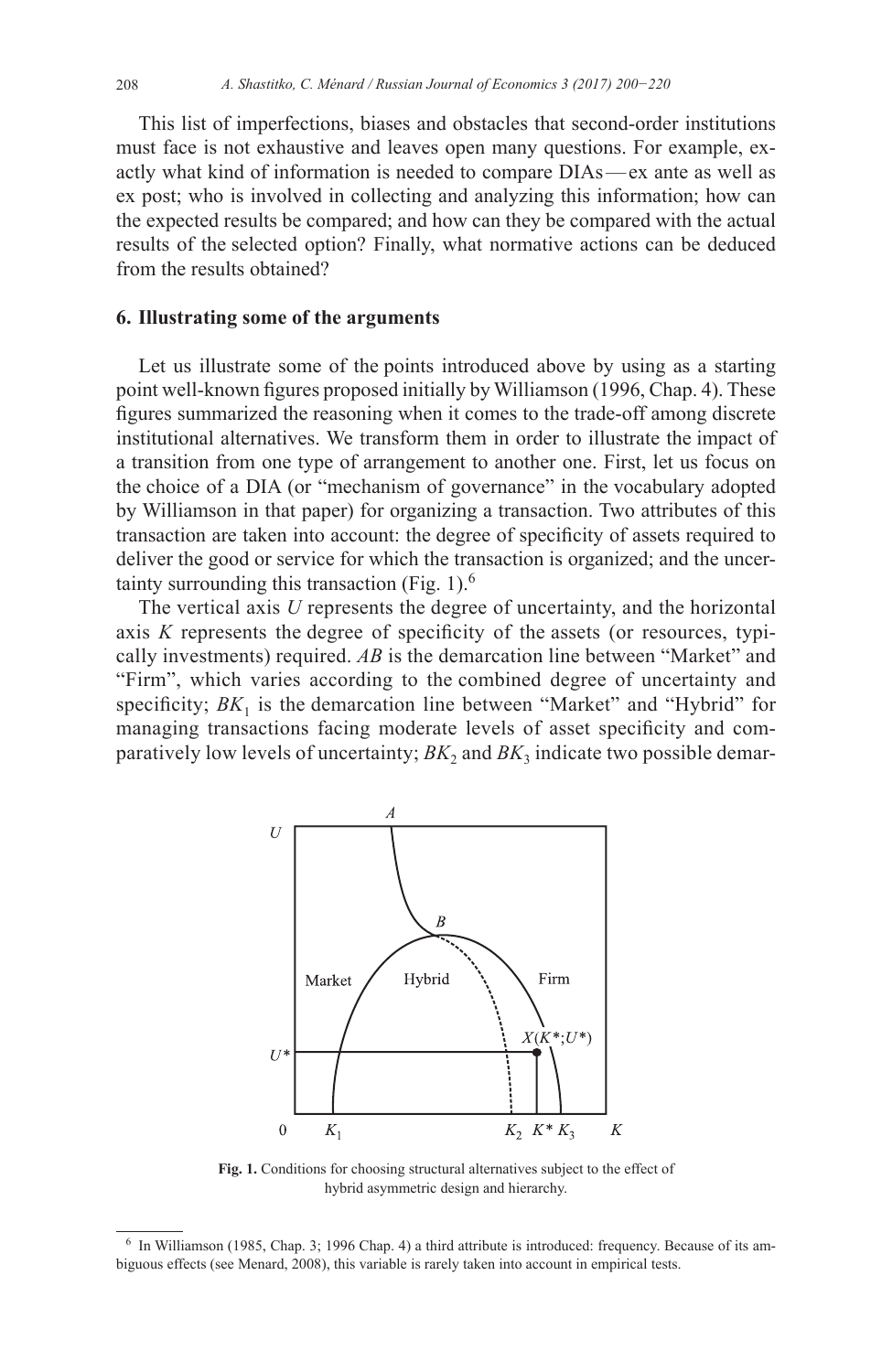This list of imperfections, biases and obstacles that second-order institutions must face is not exhaustive and leaves open many questions. For example, exactly what kind of information is needed to compare DIAs—ex ante as well as ex post; who is involved in collecting and analyzing this information; how can the expected results be compared; and how can they be compared with the actual results of the selected option? Finally, what normative actions can be deduced from the results obtained?

## **6. Illustrating some of the arguments**

Let us illustrate some of the points introduced above by using as a starting point well-known figures proposed initially by Williamson (1996, Chap. 4). These figures summarized the reasoning when it comes to the trade-off among discrete institutional alternatives. We transform them in order to illustrate the impact of a transition from one type of arrangement to another one. First, let us focus on the choice of a DIA (or "mechanism of governance" in the vocabulary adopted by Williamson in that paper) for organizing a transaction. Two attributes of this transaction are taken into account: the degree of specificity of assets required to deliver the good or service for which the transaction is organized; and the uncertainty surrounding this transaction (Fig. 1). $<sup>6</sup>$ </sup>

The vertical axis *U* represents the degree of uncertainty, and the horizontal axis *K* represents the degree of specificity of the assets (or resources, typically investments) required. *AB* is the demarcation line between "Market" and "Firm", which varies according to the combined degree of uncertainty and specificity;  $BK_1$  is the demarcation line between "Market" and "Hybrid" for managing transactions facing moderate levels of asset specificity and comparatively low levels of uncertainty;  $BK_2$  and  $BK_3$  indicate two possible demar-



**Fig. 1.** Conditions for choosing structural alternatives subject to the effect of hybrid asymmetric design and hierarchy.

<sup>6</sup> In Williamson (1985, Chap. 3; 1996 Chap. 4) a third attribute is introduced: frequency. Because of its ambiguous effects (see Menard, 2008), this variable is rarely taken into account in empirical tests.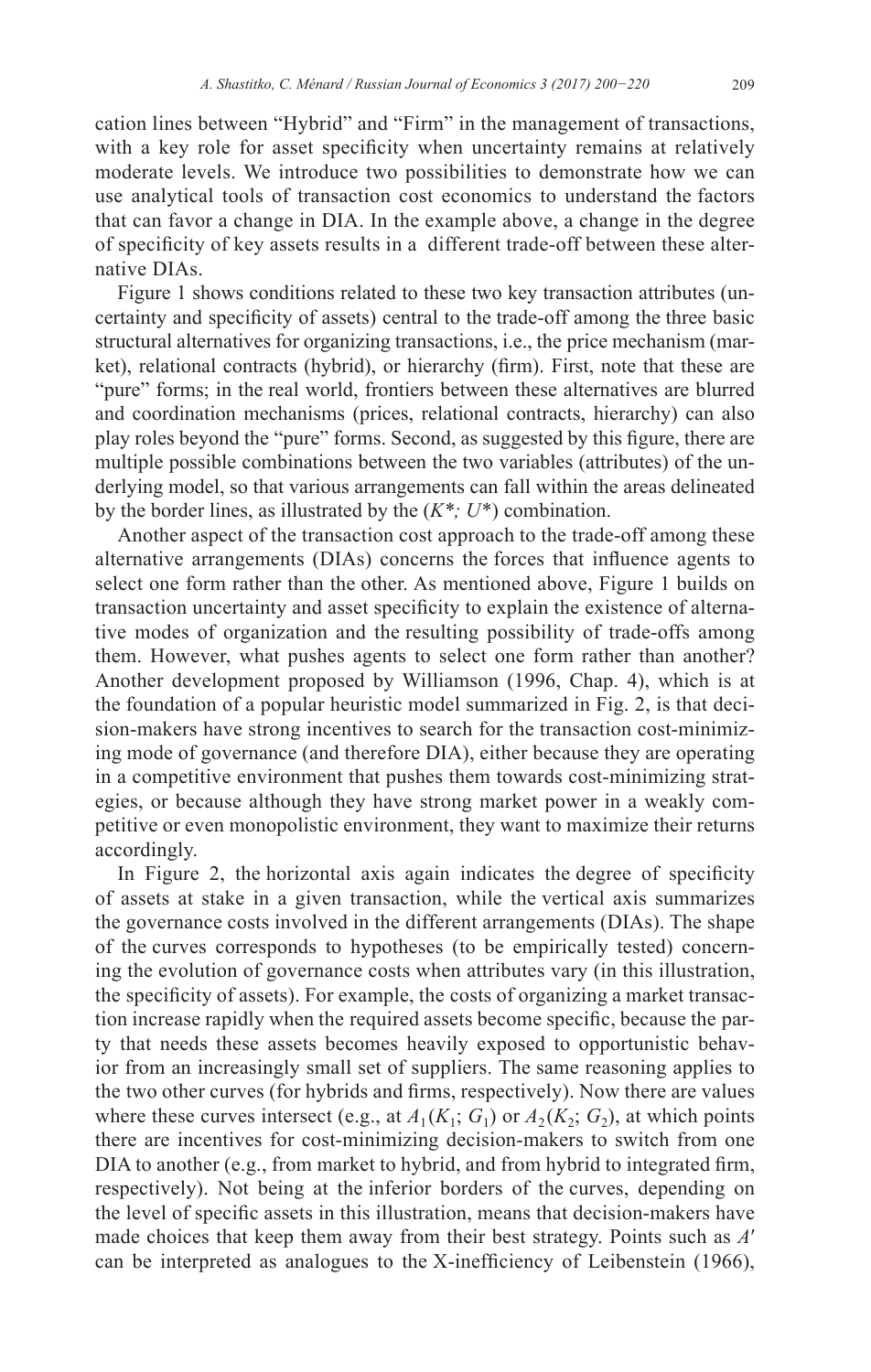cation lines between "Hybrid" and "Firm" in the management of transactions, with a key role for asset specificity when uncertainty remains at relatively moderate levels. We introduce two possibilities to demonstrate how we can use analytical tools of transaction cost economics to understand the factors that can favor a change in DIA. In the example above, a change in the degree of specificity of key assets results in a different trade-off between these alternative DIAs.

Figure 1 shows conditions related to these two key transaction attributes (uncertainty and specificity of assets) central to the trade-off among the three basic structural alternatives for organizing transactions, i.e., the price mechanism (market), relational contracts (hybrid), or hierarchy (firm). First, note that these are "pure" forms; in the real world, frontiers between these alternatives are blurred and coordination mechanisms (prices, relational contracts, hierarchy) can also play roles beyond the "pure" forms. Second, as suggested by this figure, there are multiple possible combinations between the two variables (attributes) of the underlying model, so that various arrangements can fall within the areas delineated by the border lines, as illustrated by the (*K\*; U*\*) combination.

Another aspect of the transaction cost approach to the trade-off among these alternative arrangements (DIAs) concerns the forces that influence agents to select one form rather than the other. As mentioned above, Figure 1 builds on transaction uncertainty and asset specificity to explain the existence of alternative modes of organization and the resulting possibility of trade-offs among them. However, what pushes agents to select one form rather than another? Another development proposed by Williamson (1996, Chap. 4), which is at the foundation of a popular heuristic model summarized in Fig. 2, is that decision-makers have strong incentives to search for the transaction cost-minimizing mode of governance (and therefore DIA), either because they are operating in a competitive environment that pushes them towards cost-minimizing strategies, or because although they have strong market power in a weakly competitive or even monopolistic environment, they want to maximize their returns accordingly.

In Figure 2, the horizontal axis again indicates the degree of specificity of assets at stake in a given transaction, while the vertical axis summarizes the governance costs involved in the different arrangements (DIAs). The shape of the curves corresponds to hypotheses (to be empirically tested) concerning the evolution of governance costs when attributes vary (in this illustration, the specificity of assets). For example, the costs of organizing a market transaction increase rapidly when the required assets become specific, because the party that needs these assets becomes heavily exposed to opportunistic behavior from an increasingly small set of suppliers. The same reasoning applies to the two other curves (for hybrids and firms, respectively). Now there are values where these curves intersect (e.g., at  $A_1(K_1; G_1)$  or  $A_2(K_2; G_2)$ , at which points there are incentives for cost-minimizing decision-makers to switch from one DIA to another (e.g., from market to hybrid, and from hybrid to integrated firm, respectively). Not being at the inferior borders of the curves, depending on the level of specific assets in this illustration, means that decision-makers have made choices that keep them away from their best strategy. Points such as *A*′ can be interpreted as analogues to the X-inefficiency of Leibenstein (1966),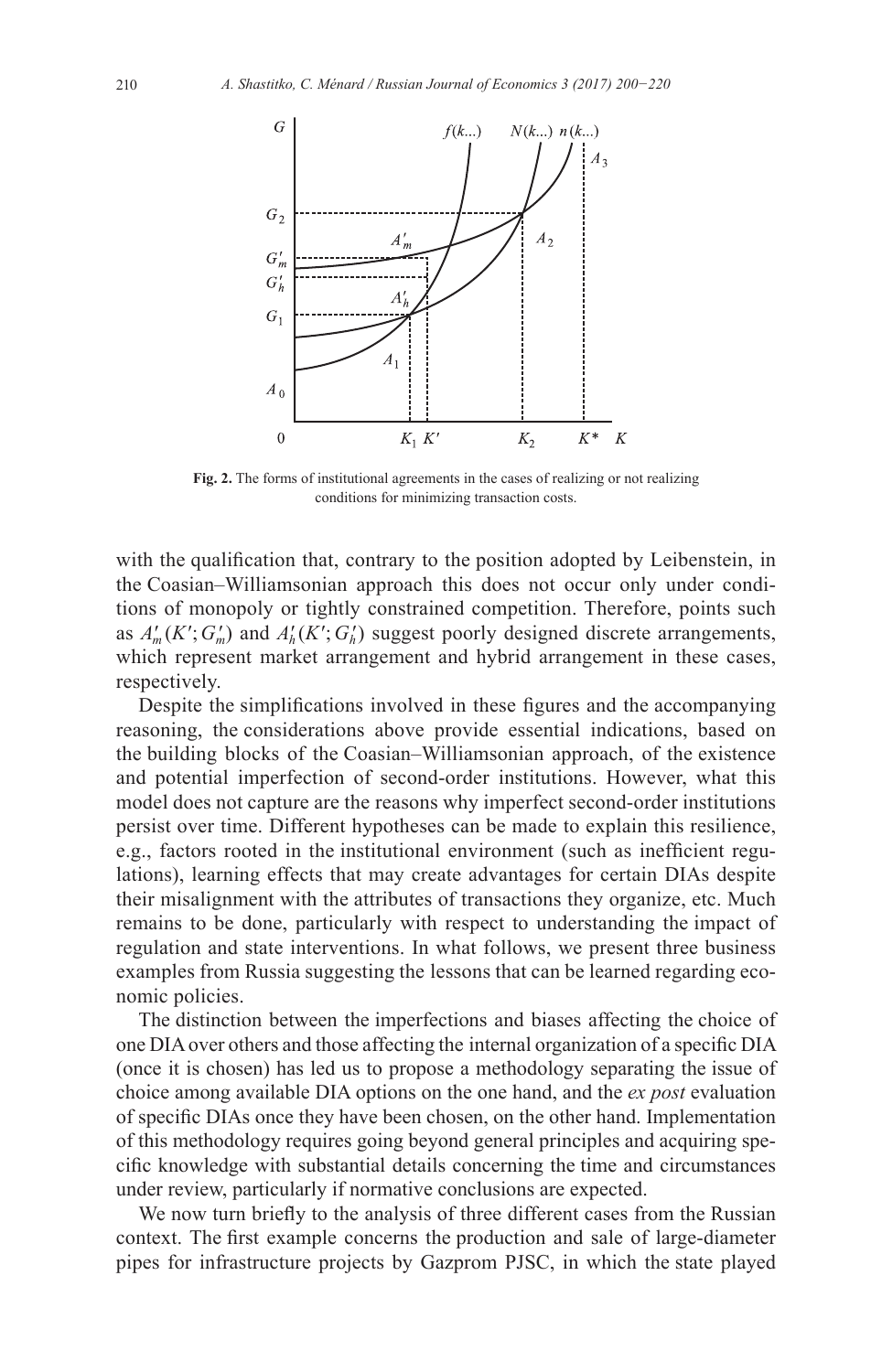

**Fig. 2.** The forms of institutional agreements in the cases of realizing or not realizing conditions for minimizing transaction costs.

with the qualification that, contrary to the position adopted by Leibenstein, in the Coasian–Williamsonian approach this does not occur only under conditions of monopoly or tightly constrained competition. Therefore, points such as  $A'_m(K'; G'_m)$  and  $A'_h(K'; G'_h)$  suggest poorly designed discrete arrangements, which represent market arrangement and hybrid arrangement in these cases, respectively.

Despite the simplifications involved in these figures and the accompanying reasoning, the considerations above provide essential indications, based on the building blocks of the Coasian–Williamsonian approach, of the existence and potential imperfection of second-order institutions. However, what this model does not capture are the reasons why imperfect second-order institutions persist over time. Different hypotheses can be made to explain this resilience, e.g., factors rooted in the institutional environment (such as inefficient regulations), learning effects that may create advantages for certain DIAs despite their misalignment with the attributes of transactions they organize, etc. Much remains to be done, particularly with respect to understanding the impact of regulation and state interventions. In what follows, we present three business examples from Russia suggesting the lessons that can be learned regarding economic policies.

The distinction between the imperfections and biases affecting the choice of one DIA over others and those affecting the internal organization of a specific DIA (once it is chosen) has led us to propose a methodology separating the issue of choice among available DIA options on the one hand, and the *ex post* evaluation of specific DIAs once they have been chosen, on the other hand. Implementation of this methodology requires going beyond general principles and acquiring specific knowledge with substantial details concerning the time and circumstances under review, particularly if normative conclusions are expected.

We now turn briefly to the analysis of three different cases from the Russian context. The first example concerns the production and sale of large-diameter pipes for infrastructure projects by Gazprom PJSC, in which the state played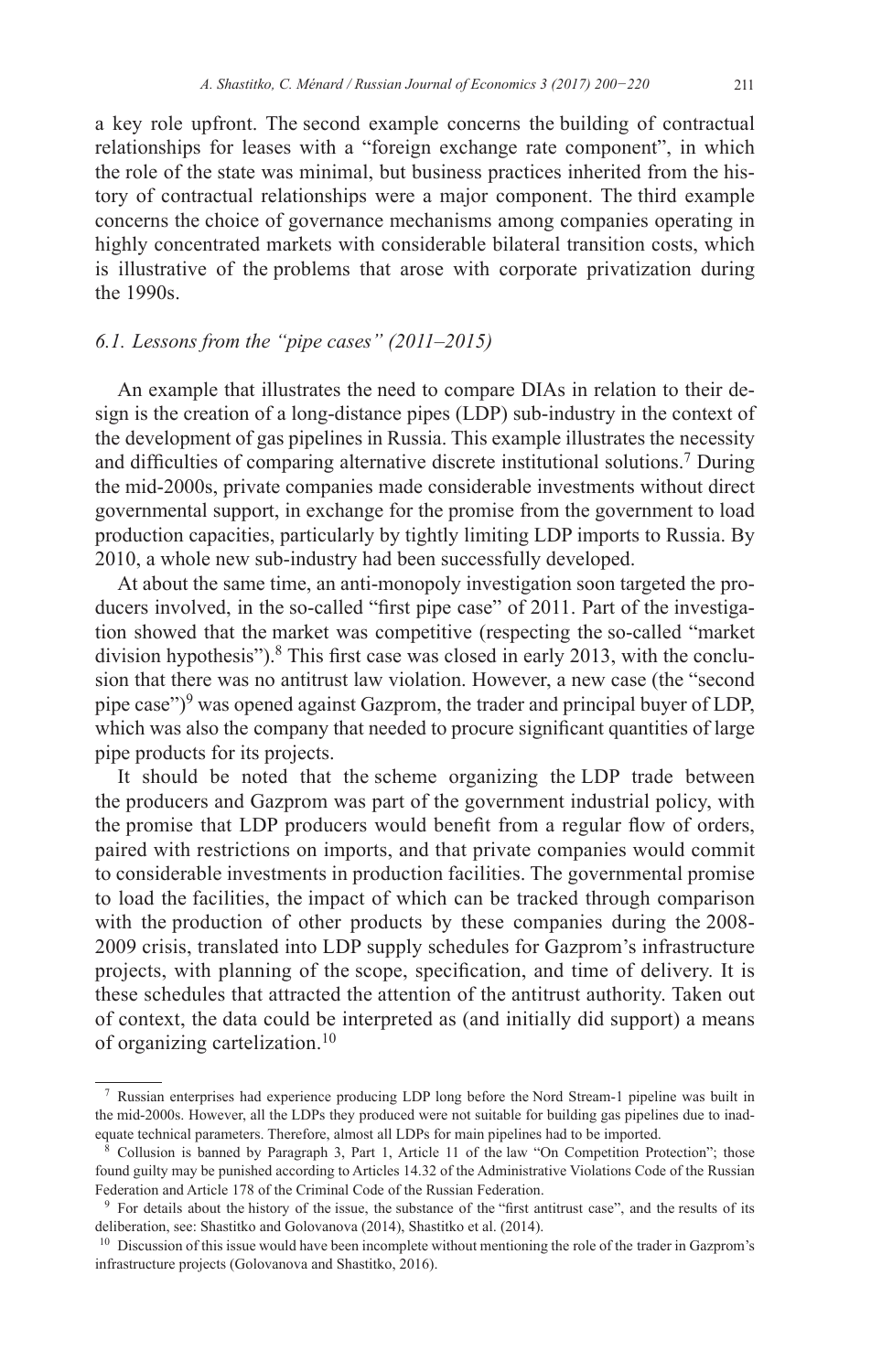a key role upfront. The second example concerns the building of contractual relationships for leases with a "foreign exchange rate component", in which the role of the state was minimal, but business practices inherited from the history of contractual relationships were a major component. The third example concerns the choice of governance mechanisms among companies operating in highly concentrated markets with considerable bilateral transition costs, which is illustrative of the problems that arose with corporate privatization during the 1990s.

## *6.1. Lessons from the "pipe cases" (2011–2015)*

An example that illustrates the need to compare DIAs in relation to their design is the creation of a long-distance pipes (LDP) sub-industry in the context of the development of gas pipelines in Russia. This example illustrates the necessity and difficulties of comparing alternative discrete institutional solutions.7 During the mid-2000s, private companies made considerable investments without direct governmental support, in exchange for the promise from the government to load production capacities, particularly by tightly limiting LDP imports to Russia. By 2010, a whole new sub-industry had been successfully developed.

At about the same time, an anti-monopoly investigation soon targeted the producers involved, in the so-called "first pipe case" of 2011. Part of the investigation showed that the market was competitive (respecting the so-called "market division hypothesis").<sup>8</sup> This first case was closed in early 2013, with the conclusion that there was no antitrust law violation. However, a new case (the "second pipe case")<sup>9</sup> was opened against Gazprom, the trader and principal buyer of LDP, which was also the company that needed to procure significant quantities of large pipe products for its projects.

It should be noted that the scheme organizing the LDP trade between the producers and Gazprom was part of the government industrial policy, with the promise that LDP producers would benefit from a regular flow of orders, paired with restrictions on imports, and that private companies would commit to considerable investments in production facilities. The governmental promise to load the facilities, the impact of which can be tracked through comparison with the production of other products by these companies during the 2008-2009 crisis, translated into LDP supply schedules for Gazprom's infrastructure projects, with planning of the scope, specification, and time of delivery. It is these schedules that attracted the attention of the antitrust authority. Taken out of context, the data could be interpreted as (and initially did support) a means of organizing cartelization.<sup>10</sup>

<sup>7</sup> Russian enterprises had experience producing LDP long before the Nord Stream-1 pipeline was built in the mid-2000s. However, all the LDPs they produced were not suitable for building gas pipelines due to inadequate technical parameters. Therefore, almost all LDPs for main pipelines had to be imported.

<sup>8</sup> Collusion is banned by Paragraph 3, Part 1, Article 11 of the law "On Competition Protection"; those found guilty may be punished according to Articles 14.32 of the Administrative Violations Code of the Russian Federation and Article 178 of the Criminal Code of the Russian Federation.

<sup>9</sup> For details about the history of the issue, the substance of the "first antitrust case", and the results of its deliberation, see: Shastitko and Golovanova (2014), Shastitko et al. (2014).

<sup>&</sup>lt;sup>10</sup> Discussion of this issue would have been incomplete without mentioning the role of the trader in Gazprom's infrastructure projects (Golovanova and Shastitko, 2016).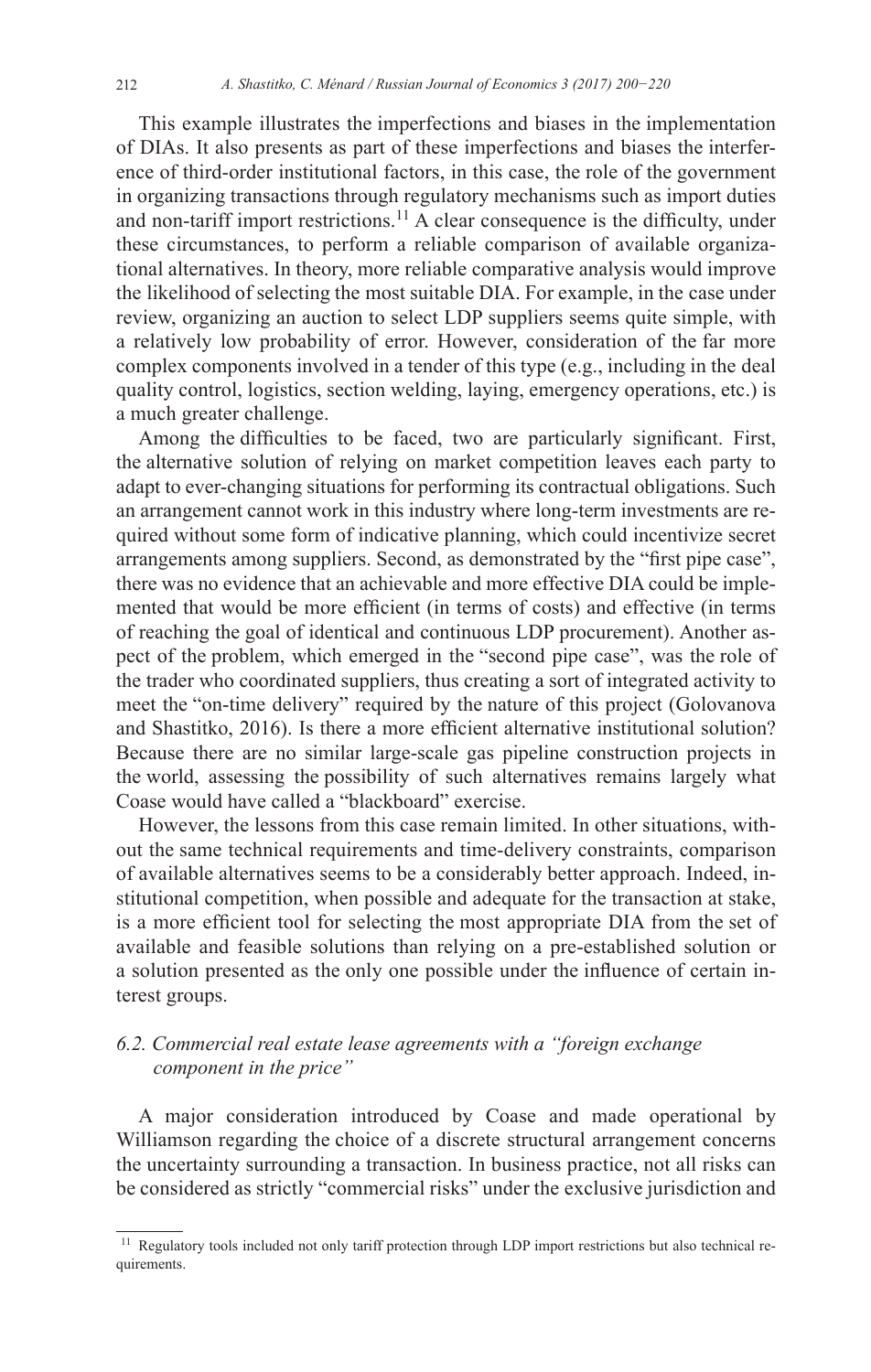This example illustrates the imperfections and biases in the implementation of DIAs. It also presents as part of these imperfections and biases the interference of third-order institutional factors, in this case, the role of the government in organizing transactions through regulatory mechanisms such as import duties and non-tariff import restrictions.<sup>11</sup> A clear consequence is the difficulty, under these circumstances, to perform a reliable comparison of available organizational alternatives. In theory, more reliable comparative analysis would improve the likelihood of selecting the most suitable DIA. For example, in the case under review, organizing an auction to select LDP suppliers seems quite simple, with a relatively low probability of error. However, consideration of the far more complex components involved in a tender of this type (e.g., including in the deal quality control, logistics, section welding, laying, emergency operations, etc.) is a much greater challenge.

Among the difficulties to be faced, two are particularly significant. First, the alternative solution of relying on market competition leaves each party to adapt to ever-changing situations for performing its contractual obligations. Such an arrangement cannot work in this industry where long-term investments are required without some form of indicative planning, which could incentivize secret arrangements among suppliers. Second, as demonstrated by the "first pipe case", there was no evidence that an achievable and more effective DIA could be implemented that would be more efficient (in terms of costs) and effective (in terms of reaching the goal of identical and continuous LDP procurement). Another aspect of the problem, which emerged in the "second pipe case", was the role of the trader who coordinated suppliers, thus creating a sort of integrated activity to meet the "on-time delivery" required by the nature of this project (Golovanova and Shastitko, 2016). Is there a more efficient alternative institutional solution? Because there are no similar large-scale gas pipeline construction projects in the world, assessing the possibility of such alternatives remains largely what Coase would have called a "blackboard" exercise.

However, the lessons from this case remain limited. In other situations, without the same technical requirements and time-delivery constraints, comparison of available alternatives seems to be a considerably better approach. Indeed, institutional competition, when possible and adequate for the transaction at stake, is a more efficient tool for selecting the most appropriate DIA from the set of available and feasible solutions than relying on a pre-established solution or a solution presented as the only one possible under the influence of certain interest groups.

# *6.2. Commercial real estate lease agreements with a "foreign exchange component in the price"*

A major consideration introduced by Coase and made operational by Williamson regarding the choice of a discrete structural arrangement concerns the uncertainty surrounding a transaction. In business practice, not all risks can be considered as strictly "commercial risks" under the exclusive jurisdiction and

Regulatory tools included not only tariff protection through LDP import restrictions but also technical requirements.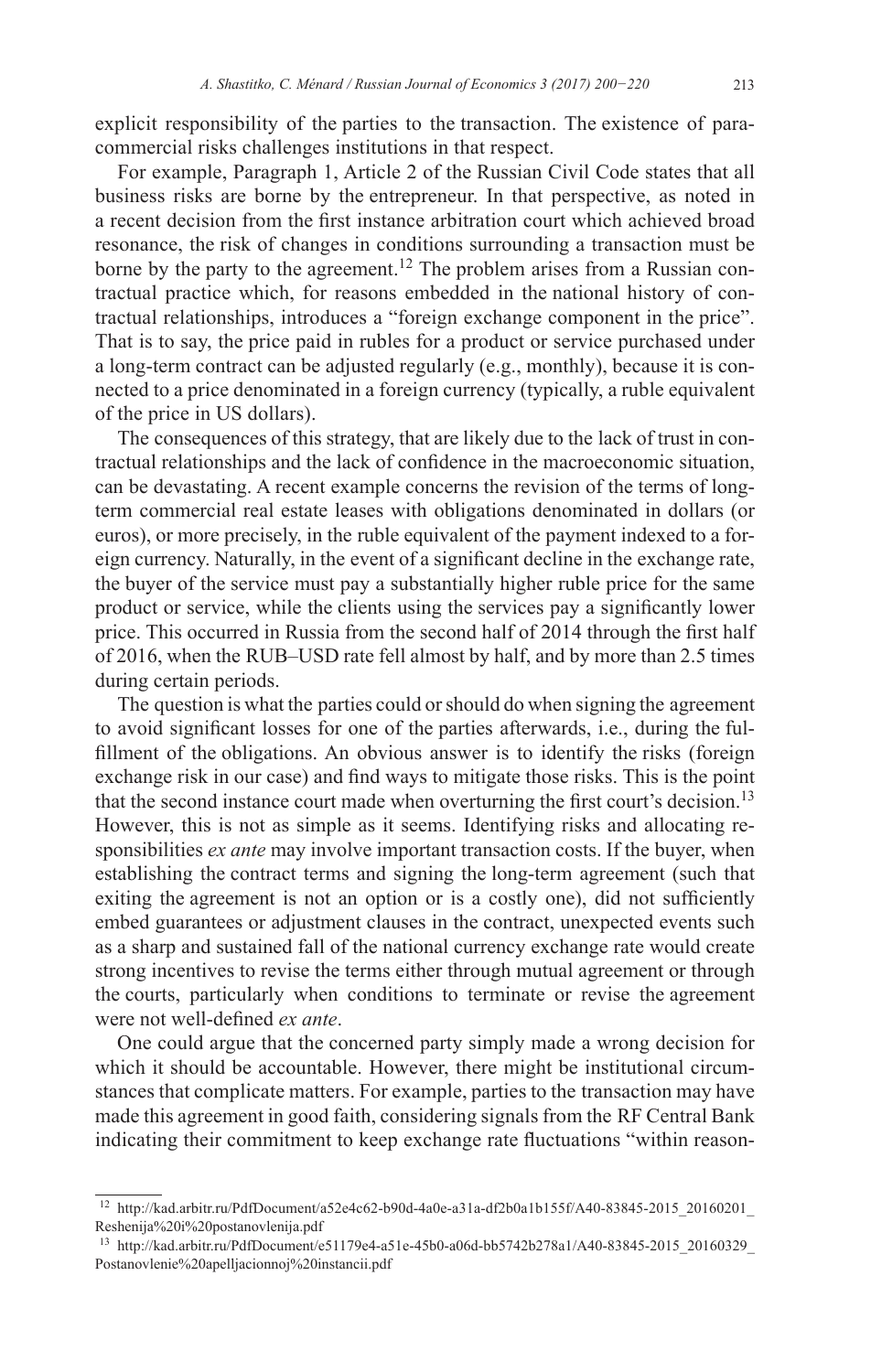explicit responsibility of the parties to the transaction. The existence of paracommercial risks challenges institutions in that respect.

For example, Paragraph 1, Article 2 of the Russian Civil Code states that all business risks are borne by the entrepreneur. In that perspective, as noted in a recent decision from the first instance arbitration court which achieved broad resonance, the risk of changes in conditions surrounding a transaction must be borne by the party to the agreement.<sup>12</sup> The problem arises from a Russian contractual practice which, for reasons embedded in the national history of contractual relationships, introduces a "foreign exchange component in the price". That is to say, the price paid in rubles for a product or service purchased under a long-term contract can be adjusted regularly (e.g., monthly), because it is connected to a price denominated in a foreign currency (typically, a ruble equivalent of the price in US dollars).

The consequences of this strategy, that are likely due to the lack of trust in contractual relationships and the lack of confidence in the macroeconomic situation, can be devastating. A recent example concerns the revision of the terms of longterm commercial real estate leases with obligations denominated in dollars (or euros), or more precisely, in the ruble equivalent of the payment indexed to a foreign currency. Naturally, in the event of a significant decline in the exchange rate, the buyer of the service must pay a substantially higher ruble price for the same product or service, while the clients using the services pay a significantly lower price. This occurred in Russia from the second half of 2014 through the first half of 2016, when the RUB–USD rate fell almost by half, and by more than 2.5 times during certain periods.

The question is what the parties could or should do when signing the agreement to avoid significant losses for one of the parties afterwards, i.e., during the fulfillment of the obligations. An obvious answer is to identify the risks (foreign exchange risk in our case) and find ways to mitigate those risks. This is the point that the second instance court made when overturning the first court's decision.<sup>13</sup> However, this is not as simple as it seems. Identifying risks and allocating responsibilities *ex ante* may involve important transaction costs. If the buyer, when establishing the contract terms and signing the long-term agreement (such that exiting the agreement is not an option or is a costly one), did not sufficiently embed guarantees or adjustment clauses in the contract, unexpected events such as a sharp and sustained fall of the national currency exchange rate would create strong incentives to revise the terms either through mutual agreement or through the courts, particularly when conditions to terminate or revise the agreement were not well-defined *ex ante*.

One could argue that the concerned party simply made a wrong decision for which it should be accountable. However, there might be institutional circumstances that complicate matters. For example, parties to the transaction may have made this agreement in good faith, considering signals from the RF Central Bank indicating their commitment to keep exchange rate fluctuations "within reason-

<sup>12</sup> [http://kad.arbitr.ru/PdfDocument/a52e4c62-b90d-4a0e-a31a-df2b0a1b155f/A40-83845-2015\\_20160201\\_](http://kad.arbitr.ru/PdfDocument/a52e4c62-b90d-4a0e-a31a-df2b0a1b155f/A40-83845-2015_20160201_Reshenija%2520i%2520postanovlenija.pdf) [Reshenija%20i%20postanovlenija.pdf](http://kad.arbitr.ru/PdfDocument/a52e4c62-b90d-4a0e-a31a-df2b0a1b155f/A40-83845-2015_20160201_Reshenija%2520i%2520postanovlenija.pdf)

<sup>13</sup> [http://kad.arbitr.ru/PdfDocument/e51179e4-a51e-45b0-a06d-bb5742b278a1/A40-83845-2015\\_20160329\\_](http://kad.arbitr.ru/PdfDocument/e51179e4-a51e-45b0-a06d-bb5742b278a1/A40-83845-2015_20160329_Postanovlenie%2520apelljacionnoj%2520instancii.pdf) [Postanovlenie%20apelljacionnoj%20instancii.pdf](http://kad.arbitr.ru/PdfDocument/e51179e4-a51e-45b0-a06d-bb5742b278a1/A40-83845-2015_20160329_Postanovlenie%2520apelljacionnoj%2520instancii.pdf)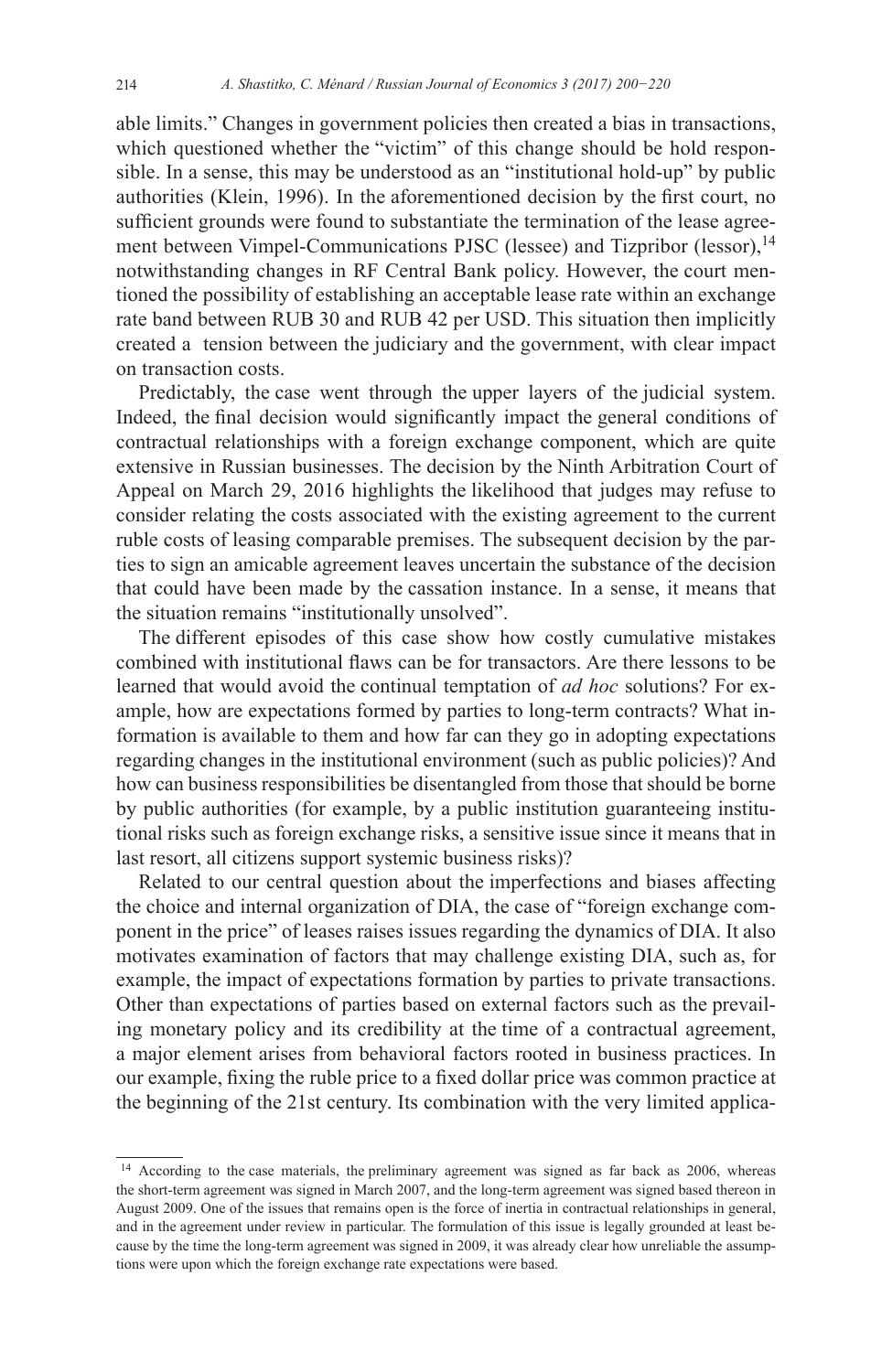able limits." Changes in government policies then created a bias in transactions, which questioned whether the "victim" of this change should be hold responsible. In a sense, this may be understood as an "institutional hold-up" by public authorities (Klein, 1996). In the aforementioned decision by the first court, no sufficient grounds were found to substantiate the termination of the lease agreement between Vimpel-Communications PJSC (lessee) and Tizpribor (lessor),<sup>14</sup> notwithstanding changes in RF Central Bank policy. However, the court mentioned the possibility of establishing an acceptable lease rate within an exchange rate band between RUB 30 and RUB 42 per USD. This situation then implicitly created a tension between the judiciary and the government, with clear impact on transaction costs.

Predictably, the case went through the upper layers of the judicial system. Indeed, the final decision would significantly impact the general conditions of contractual relationships with a foreign exchange component, which are quite extensive in Russian businesses. The decision by the Ninth Arbitration Court of Appeal on March 29, 2016 highlights the likelihood that judges may refuse to consider relating the costs associated with the existing agreement to the current ruble costs of leasing comparable premises. The subsequent decision by the parties to sign an amicable agreement leaves uncertain the substance of the decision that could have been made by the cassation instance. In a sense, it means that the situation remains "institutionally unsolved".

The different episodes of this case show how costly cumulative mistakes combined with institutional flaws can be for transactors. Are there lessons to be learned that would avoid the continual temptation of *ad hoc* solutions? For example, how are expectations formed by parties to long-term contracts? What information is available to them and how far can they go in adopting expectations regarding changes in the institutional environment (such as public policies)? And how can business responsibilities be disentangled from those that should be borne by public authorities (for example, by a public institution guaranteeing institutional risks such as foreign exchange risks, a sensitive issue since it means that in last resort, all citizens support systemic business risks)?

Related to our central question about the imperfections and biases affecting the choice and internal organization of DIA, the case of "foreign exchange component in the price" of leases raises issues regarding the dynamics of DIA. It also motivates examination of factors that may challenge existing DIA, such as, for example, the impact of expectations formation by parties to private transactions. Other than expectations of parties based on external factors such as the prevailing monetary policy and its credibility at the time of a contractual agreement, a major element arises from behavioral factors rooted in business practices. In our example, fixing the ruble price to a fixed dollar price was common practice at the beginning of the 21st century. Its combination with the very limited applica-

<sup>&</sup>lt;sup>14</sup> According to the case materials, the preliminary agreement was signed as far back as 2006, whereas the short-term agreement was signed in March 2007, and the long-term agreement was signed based thereon in August 2009. One of the issues that remains open is the force of inertia in contractual relationships in general, and in the agreement under review in particular. The formulation of this issue is legally grounded at least because by the time the long-term agreement was signed in 2009, it was already clear how unreliable the assumptions were upon which the foreign exchange rate expectations were based.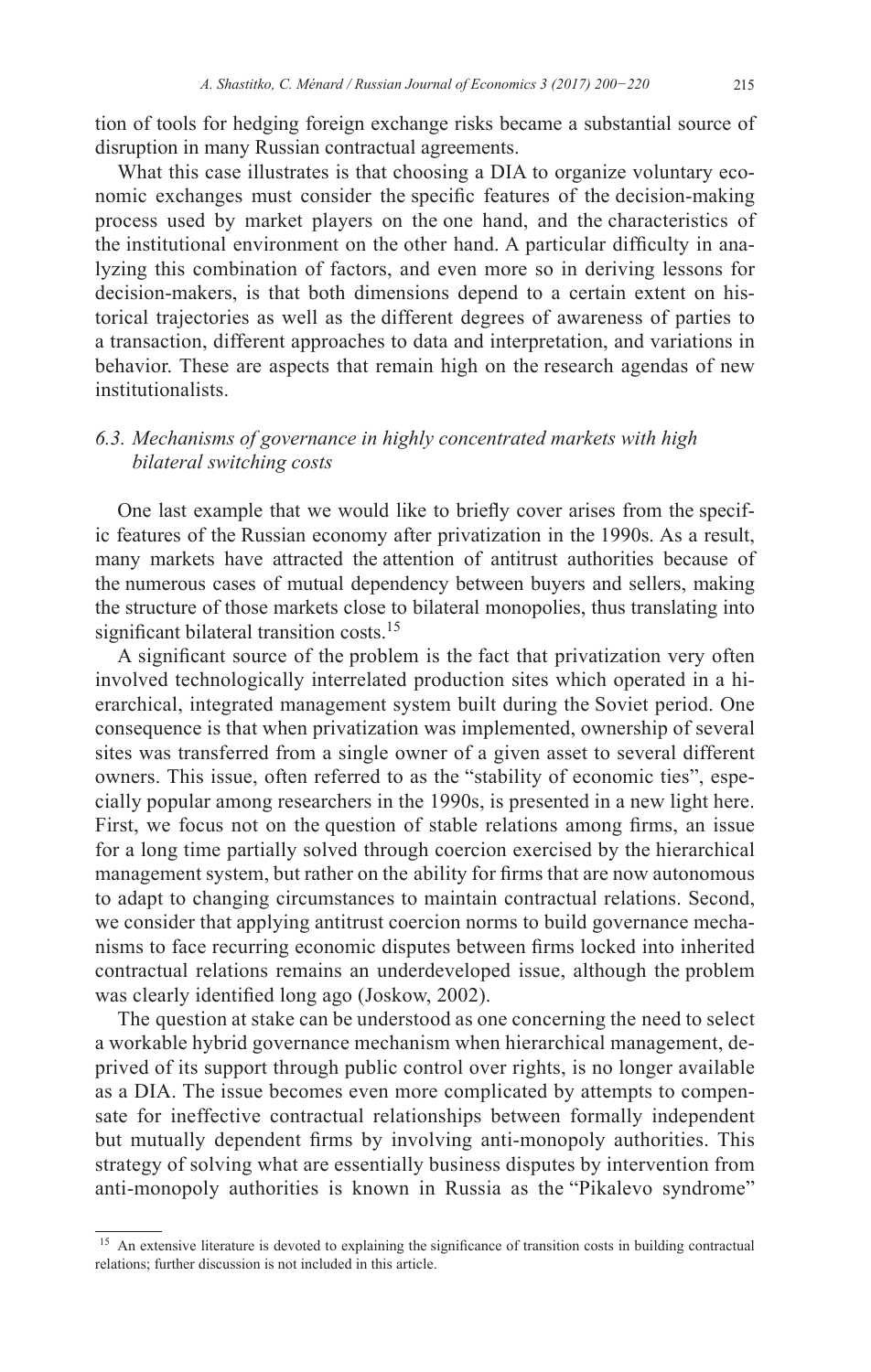tion of tools for hedging foreign exchange risks became a substantial source of disruption in many Russian contractual agreements.

What this case illustrates is that choosing a DIA to organize voluntary economic exchanges must consider the specific features of the decision-making process used by market players on the one hand, and the characteristics of the institutional environment on the other hand. A particular difficulty in analyzing this combination of factors, and even more so in deriving lessons for decision-makers, is that both dimensions depend to a certain extent on historical trajectories as well as the different degrees of awareness of parties to a transaction, different approaches to data and interpretation, and variations in behavior. These are aspects that remain high on the research agendas of new institutionalists.

# *6.3. Mechanisms of governance in highly concentrated markets with high bilateral switching costs*

One last example that we would like to briefly cover arises from the specific features of the Russian economy after privatization in the 1990s. As a result, many markets have attracted the attention of antitrust authorities because of the numerous cases of mutual dependency between buyers and sellers, making the structure of those markets close to bilateral monopolies, thus translating into significant bilateral transition costs.<sup>15</sup>

A significant source of the problem is the fact that privatization very often involved technologically interrelated production sites which operated in a hierarchical, integrated management system built during the Soviet period. One consequence is that when privatization was implemented, ownership of several sites was transferred from a single owner of a given asset to several different owners. This issue, often referred to as the "stability of economic ties", especially popular among researchers in the 1990s, is presented in a new light here. First, we focus not on the question of stable relations among firms, an issue for a long time partially solved through coercion exercised by the hierarchical management system, but rather on the ability for firms that are now autonomous to adapt to changing circumstances to maintain contractual relations. Second, we consider that applying antitrust coercion norms to build governance mechanisms to face recurring economic disputes between firms locked into inherited contractual relations remains an underdeveloped issue, although the problem was clearly identified long ago (Joskow, 2002).

The question at stake can be understood as one concerning the need to select a workable hybrid governance mechanism when hierarchical management, deprived of its support through public control over rights, is no longer available as a DIA. The issue becomes even more complicated by attempts to compensate for ineffective contractual relationships between formally independent but mutually dependent firms by involving anti-monopoly authorities. This strategy of solving what are essentially business disputes by intervention from anti-monopoly authorities is known in Russia as the "Pikalevo syndrome"

<sup>&</sup>lt;sup>15</sup> An extensive literature is devoted to explaining the significance of transition costs in building contractual relations; further discussion is not included in this article.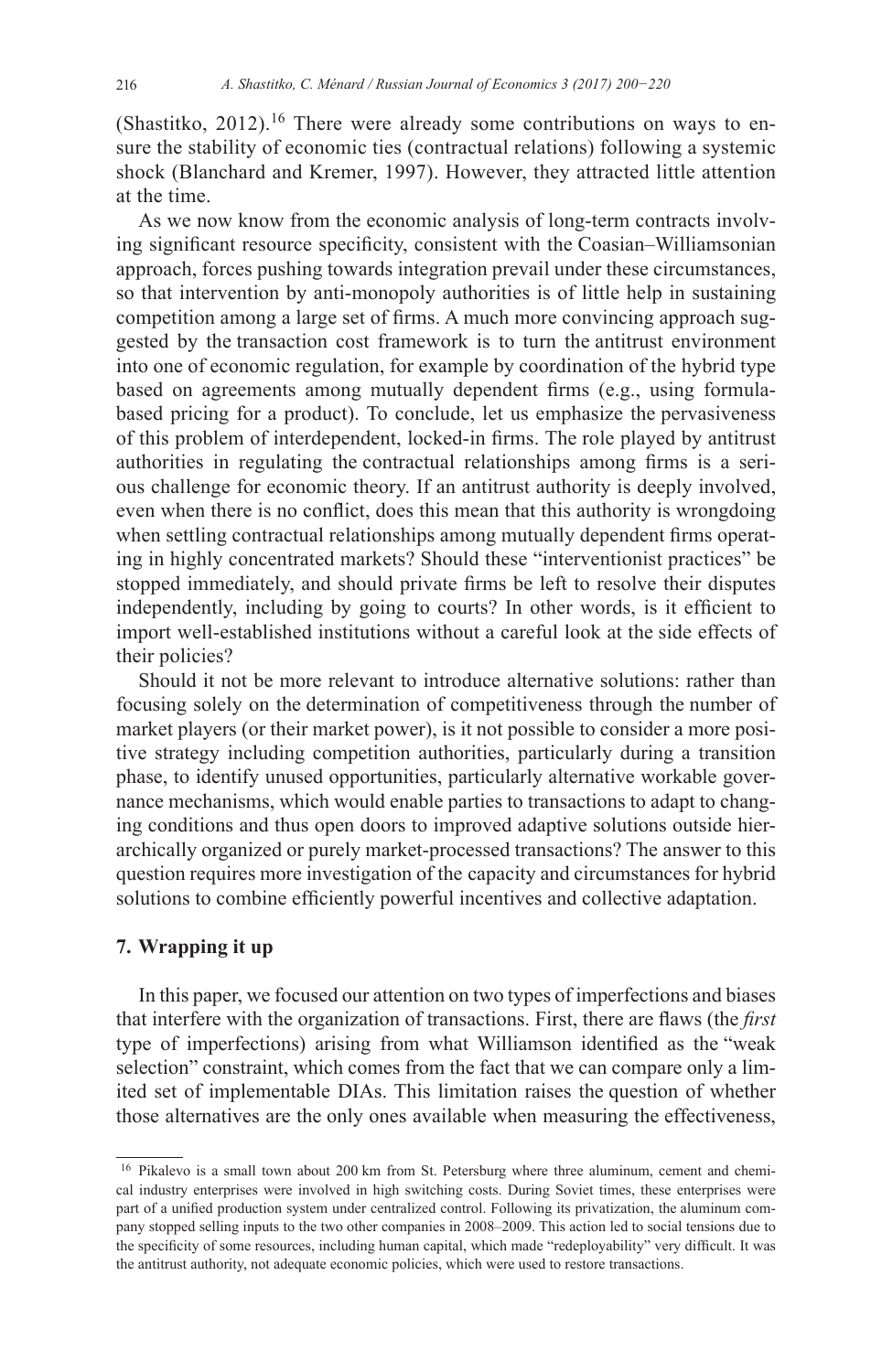(Shastitko, 2012).<sup>16</sup> There were already some contributions on ways to ensure the stability of economic ties (contractual relations) following a systemic shock (Blanchard and Kremer, 1997). However, they attracted little attention at the time.

As we now know from the economic analysis of long-term contracts involving significant resource specificity, consistent with the Coasian–Williamsonian approach, forces pushing towards integration prevail under these circumstances, so that intervention by anti-monopoly authorities is of little help in sustaining competition among a large set of firms. A much more convincing approach suggested by the transaction cost framework is to turn the antitrust environment into one of economic regulation, for example by coordination of the hybrid type based on agreements among mutually dependent firms (e.g., using formulabased pricing for a product). To conclude, let us emphasize the pervasiveness of this problem of interdependent, locked-in firms. The role played by antitrust authorities in regulating the contractual relationships among firms is a serious challenge for economic theory. If an antitrust authority is deeply involved, even when there is no conflict, does this mean that this authority is wrongdoing when settling contractual relationships among mutually dependent firms operating in highly concentrated markets? Should these "interventionist practices" be stopped immediately, and should private firms be left to resolve their disputes independently, including by going to courts? In other words, is it efficient to import well-established institutions without a careful look at the side effects of their policies?

Should it not be more relevant to introduce alternative solutions: rather than focusing solely on the determination of competitiveness through the number of market players (or their market power), is it not possible to consider a more positive strategy including competition authorities, particularly during a transition phase, to identify unused opportunities, particularly alternative workable governance mechanisms, which would enable parties to transactions to adapt to changing conditions and thus open doors to improved adaptive solutions outside hierarchically organized or purely market-processed transactions? The answer to this question requires more investigation of the capacity and circumstances for hybrid solutions to combine efficiently powerful incentives and collective adaptation.

# **7. Wrapping it up**

In this paper, we focused our attention on two types of imperfections and biases that interfere with the organization of transactions. First, there are flaws (the *first*  type of imperfections) arising from what Williamson identified as the "weak selection" constraint, which comes from the fact that we can compare only a limited set of implementable DIAs. This limitation raises the question of whether those alternatives are the only ones available when measuring the effectiveness,

<sup>&</sup>lt;sup>16</sup> Pikalevo is a small town about 200 km from St. Petersburg where three aluminum, cement and chemical industry enterprises were involved in high switching costs. During Soviet times, these enterprises were part of a unified production system under centralized control. Following its privatization, the aluminum company stopped selling inputs to the two other companies in 2008–2009. This action led to social tensions due to the specificity of some resources, including human capital, which made "redeployability" very difficult. It was the antitrust authority, not adequate economic policies, which were used to restore transactions.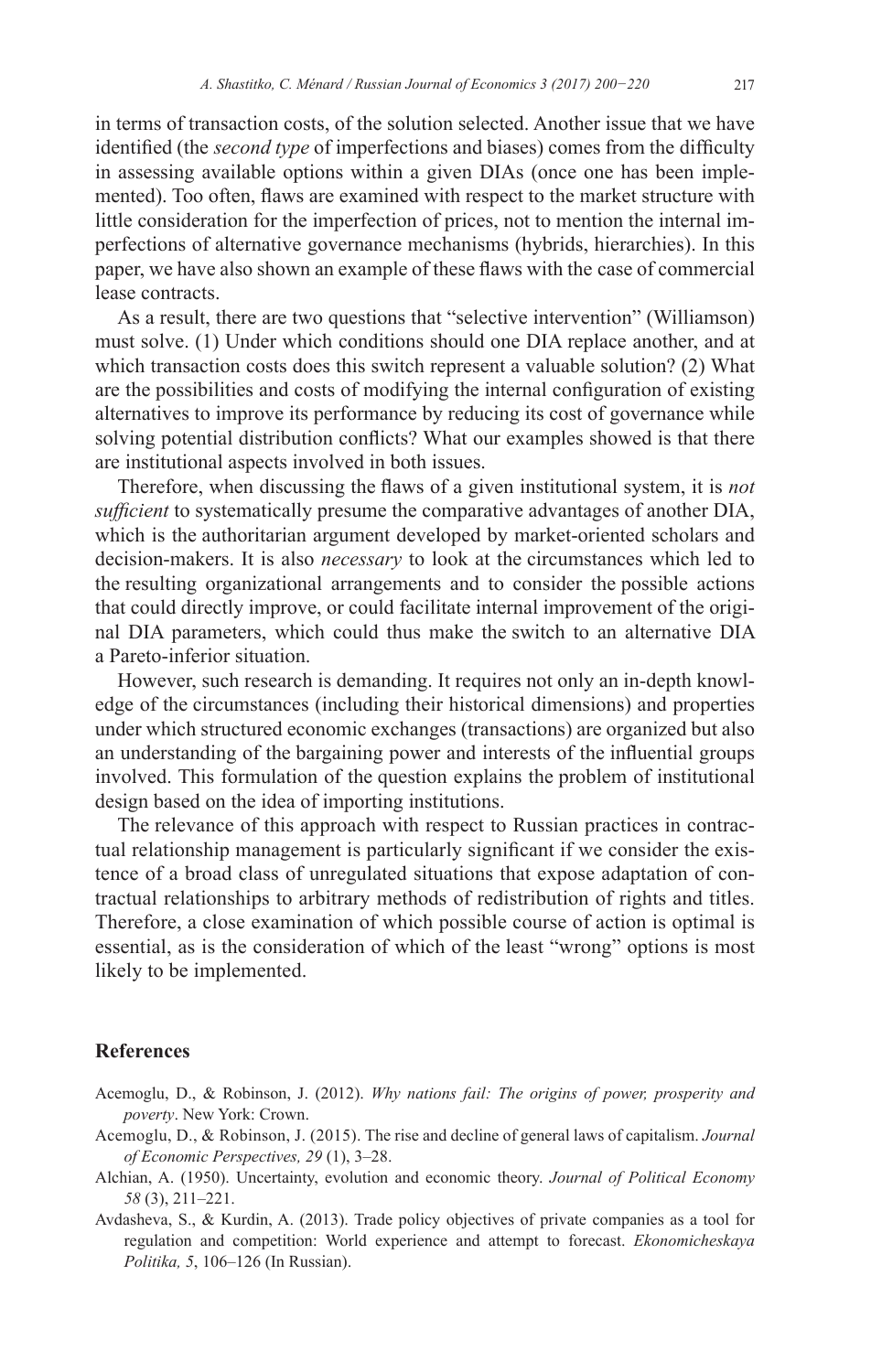in terms of transaction costs, of the solution selected. Another issue that we have identified (the *second type* of imperfections and biases) comes from the difficulty in assessing available options within a given DIAs (once one has been implemented). Too often, flaws are examined with respect to the market structure with little consideration for the imperfection of prices, not to mention the internal imperfections of alternative governance mechanisms (hybrids, hierarchies). In this paper, we have also shown an example of these flaws with the case of commercial lease contracts.

As a result, there are two questions that "selective intervention" (Williamson) must solve. (1) Under which conditions should one DIA replace another, and at which transaction costs does this switch represent a valuable solution? (2) What are the possibilities and costs of modifying the internal configuration of existing alternatives to improve its performance by reducing its cost of governance while solving potential distribution conflicts? What our examples showed is that there are institutional aspects involved in both issues.

Therefore, when discussing the flaws of a given institutional system, it is *not sufficient* to systematically presume the comparative advantages of another DIA, which is the authoritarian argument developed by market-oriented scholars and decision-makers. It is also *necessary* to look at the circumstances which led to the resulting organizational arrangements and to consider the possible actions that could directly improve, or could facilitate internal improvement of the original DIA parameters, which could thus make the switch to an alternative DIA a Pareto-inferior situation.

However, such research is demanding. It requires not only an in-depth knowledge of the circumstances (including their historical dimensions) and properties under which structured economic exchanges (transactions) are organized but also an understanding of the bargaining power and interests of the influential groups involved. This formulation of the question explains the problem of institutional design based on the idea of importing institutions.

The relevance of this approach with respect to Russian practices in contractual relationship management is particularly significant if we consider the existence of a broad class of unregulated situations that expose adaptation of contractual relationships to arbitrary methods of redistribution of rights and titles. Therefore, a close examination of which possible course of action is optimal is essential, as is the consideration of which of the least "wrong" options is most likely to be implemented.

#### **References**

- Acemoglu, D., & Robinson, J. (2012). *Why nations fail: The origins of power, prosperity and poverty*. New York: Crown.
- Acemoglu, D., & Robinson, J. (2015). The rise and decline of general laws of capitalism. *Journal of Economic Perspectives, 29* (1), 3–28.
- Alchian, A. (1950). Uncertainty, evolution and economic theory. *Journal of Political Economy 58* (3), 211–221.
- Avdasheva, S., & Kurdin, A. (2013). Trade policy objectives of private companies as a tool for regulation and competition: World experience and attempt to forecast. *Ekonomicheskaya Politika, 5*, 106–126 (In Russian).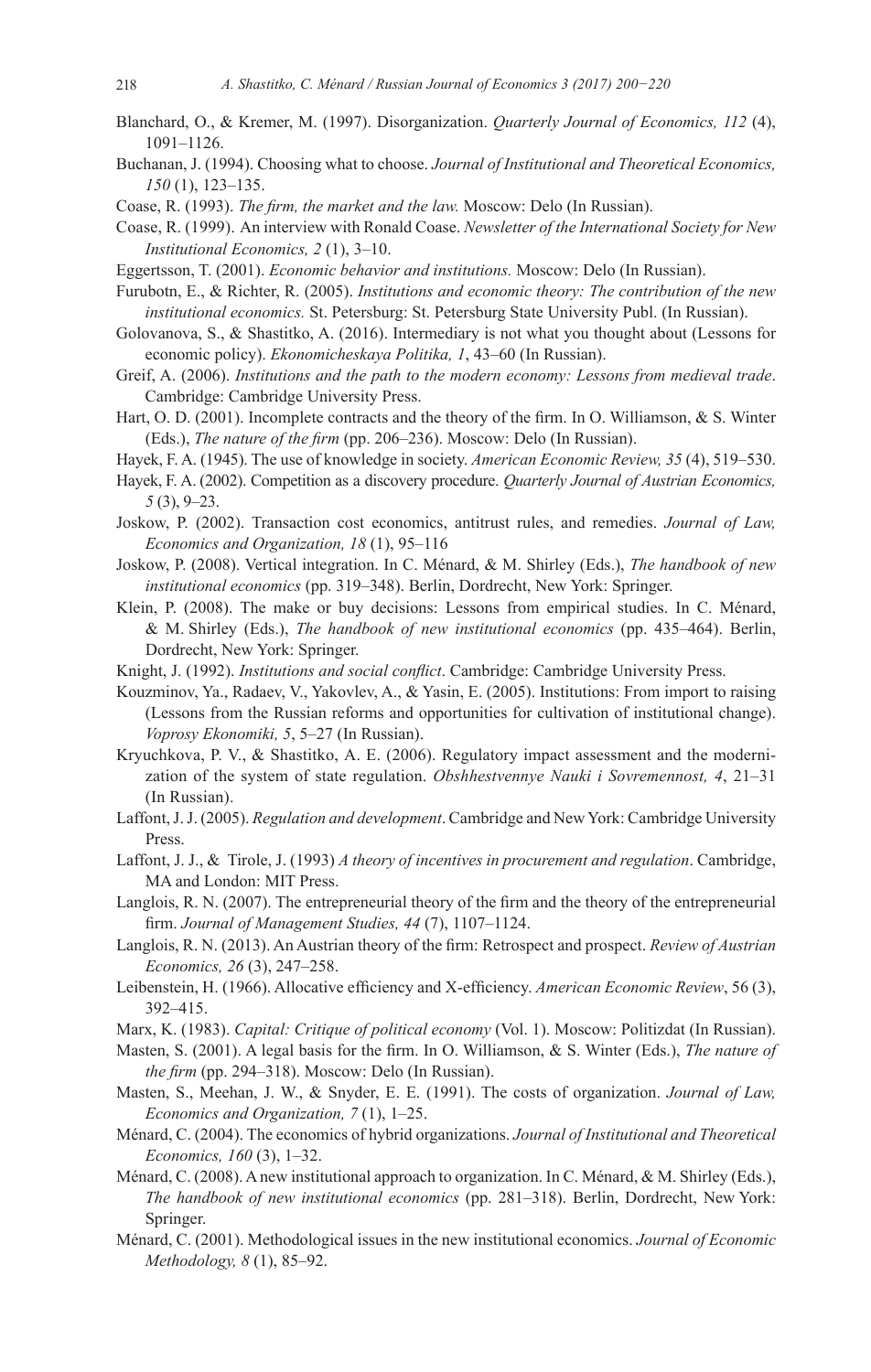- Blanchard, O., & Kremer, M. (1997). Disorganization. *Quarterly Journal of Economics, 112* (4), 1091–1126.
- Buchanan, J. (1994). Choosing what to choose. *Journal of Institutional and Theoretical Economics, 150* (1), 123–135.
- Coase, R. (1993). *The firm, the market and the law.* Moscow: Delo (In Russian).
- Coase, R. (1999). An interview with Ronald Coase. *Newsletter of the International Society for New Institutional Economics, 2* (1), 3–10.
- Eggertsson, T. (2001). *Economic behavior and institutions.* Moscow: Delo (In Russian).
- Furubotn, E., & Richter, R. (2005). *Institutions and economic theory: The contribution of the new institutional economics.* St. Petersburg: St. Petersburg State University Publ. (In Russian).
- Golovanova, S., & Shastitko, A. (2016). Intermediary is not what you thought about (Lessons for economic policy). *Ekonomicheskaya Politika, 1*, 43–60 (In Russian).
- Greif, A. (2006). *Institutions and the path to the modern economy: Lessons from medieval trade*. Cambridge: Cambridge University Press.
- Hart, O. D. (2001). Incomplete contracts and the theory of the firm. In O. Williamson, & S. Winter (Eds.), *The nature of the firm* (pp. 206–236). Moscow: Delo (In Russian).
- Hayek,  F.  A.  (1945). The use of knowledge in society. *American Economic Review, 35* (4), 519–530.
- Hayek, F. A. (2002). Competition as a discovery procedure. *Quarterly Journal of Austrian Economics, 5* (3), 9–23.
- Joskow, P. (2002). Transaction cost economics, antitrust rules, and remedies. *Journal of Law, Economics and Organization, 18* (1), 95–116
- Joskow, P. (2008). Vertical integration. In C. Ménard, & M. Shirley (Eds.), *The handbook of new institutional economics* (pp. 319–348). Berlin, Dordrecht, New York: Springer.
- Klein, P. (2008). The make or buy decisions: Lessons from empirical studies. In C. Ménard, & M. Shirley (Eds.), *The handbook of new institutional economics* (pp. 435–464). Berlin, Dordrecht, New York: Springer.
- Knight, J. (1992). *Institutions and social conflict*. Cambridge: Cambridge University Press.
- Kouzminov, Ya., Radaev, V., Yakovlev, A., & Yasin, E. (2005). Institutions: From import to raising (Lessons from the Russian reforms and opportunities for cultivation of institutional change). *Voprosy Ekonomiki, 5*, 5–27 (In Russian).
- Kryuchkova, P. V., & Shastitko, A. E. (2006). Regulatory impact assessment and the modernization of the system of state regulation. *Obshhestvennye Nauki i Sovremennost, 4*, 21–31 (In Russian).
- Laffont, J.J. (2005). *Regulation and development*. Cambridge and New York: Cambridge University Press.
- Laffont, J. J., & Tirole, J. (1993) *A theory of incentives in procurement and regulation*. Cambridge, MA and London: MIT Press.
- Langlois, R. N. (2007). The entrepreneurial theory of the firm and the theory of the entrepreneurial firm. *Journal of Management Studies, 44* (7), 1107–1124.
- Langlois, R. N. (2013). An Austrian theory of the firm: Retrospect and prospect. *Review of Austrian Economics, 26* (3), 247–258.
- Leibenstein, H. (1966). Allocative efficiency and X-efficiency. *American Economic Review*, 56 (3), 392–415.
- Marx, K. (1983). *Capital: Critique of political economy* (Vol. 1). Moscow: Politizdat (In Russian).
- Masten, S. (2001). A legal basis for the firm. In O. Williamson, & S. Winter (Eds.), *The nature of the firm* (pp. 294–318). Moscow: Delo (In Russian).
- Masten, S., Meehan, J. W., & Snyder, E. E. (1991). The costs of organization. *Journal of Law, Economics and Organization, 7* (1), 1–25.
- Ménard, C. (2004). The economics of hybrid organizations. *Journal of Institutional and Theoretical Economics, 160* (3), 1–32.
- Ménard, C. (2008). A new institutional approach to organization. In C. Ménard, & M. Shirley (Eds.), *The handbook of new institutional economics* (pp. 281–318). Berlin, Dordrecht, New York: Springer.
- Ménard, C. (2001). Methodological issues in the new institutional economics. *Journal of Economic Methodology, 8* (1), 85–92.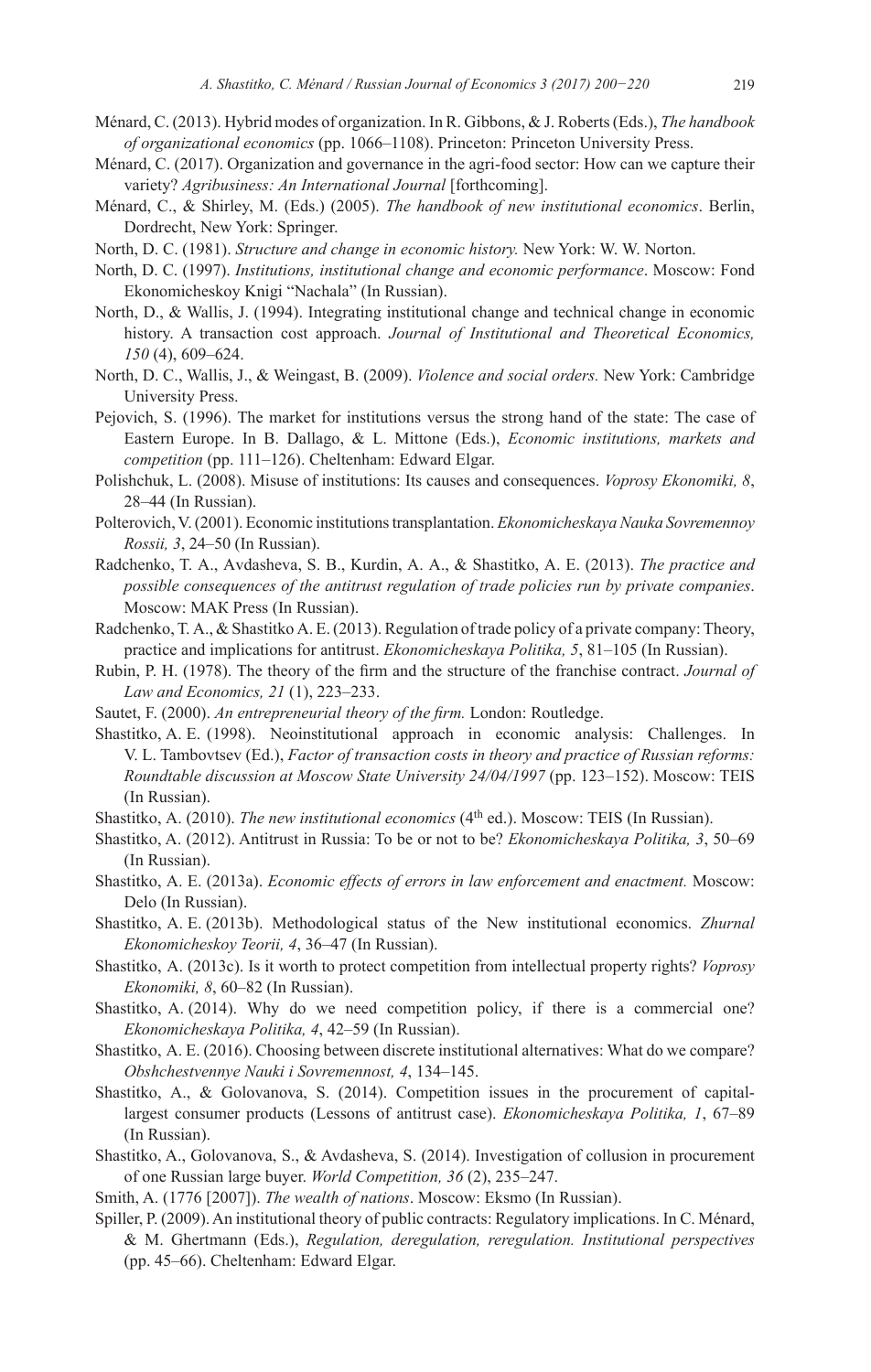- Ménard, C. (2013). Hybrid modes of organization. In R. Gibbons, & J. Roberts (Eds.), *The handbook of organizational economics* (pp. 1066–1108). Princeton: Princeton University Press.
- Ménard, C. (2017). Organization and governance in the agri-food sector: How can we capture their variety? *Agribusiness: An International Journal* [forthcoming].
- Ménard, C., & Shirley, M. (Eds.) (2005). *The handbook of new institutional economics*. Berlin, Dordrecht, New York: Springer.
- North, D. C. (1981). *Structure and change in economic history.* New York: W. W. Norton.
- North, D. C. (1997). *Institutions, institutional change and economic performance*. Moscow: Fond Ekonomicheskoy Knigi "Nachala" (In Russian).
- North, D., & Wallis, J. (1994). Integrating institutional change and technical change in economic history. A transaction cost approach. *Journal of Institutional and Theoretical Economics, 150* (4), 609–624.
- North, D. C., Wallis, J., & Weingast, B. (2009). *Violence and social orders.* New York: Cambridge University Press.
- Pejovich, S. (1996). The market for institutions versus the strong hand of the state: The case of Eastern Europe. In B. Dallago, & L. Mittone (Eds.), *Economic institutions, markets and competition* (pp. 111–126). Cheltenham: Edward Elgar.
- Polishchuk, L. (2008). Misuse of institutions: Its causes and consequences. *Voprosy Ekonomiki, 8*, 28–44 (In Russian).
- Polterovich, V. (2001). Economic institutions transplantation. *Ekonomicheskaya Nauka Sovremennoy Rossii, 3*, 24–50 (In Russian).
- Radchenko, T. А., Аvdasheva, S. B., Kurdin, А. А., & Shastitko, А. E. (2013). *The practice and possible consequences of the antitrust regulation of trade policies run by private companies*. Moscow: МАК Press (In Russian).
- Radchenko, Т. А., & Shastitko А. Е. (2013). Regulation of trade policy of a private company: Theory, practice and implications for antitrust. *Ekonomicheskaya Politika, 5*, 81–105 (In Russian).
- Rubin, P. H. (1978). The theory of the firm and the structure of the franchise contract. *Journal of Law and Economics, 21* (1), 223–233.
- Sautet, F. (2000). *An entrepreneurial theory of the firm.* London: Routledge.
- Shastitko, A. E. (1998). Neoinstitutional approach in economic analysis: Challenges. In V. L. Tambovtsev (Ed.), *Factor of transaction costs in theory and practice of Russian reforms: Roundtable discussion at Moscow State University 24/04/1997* (pp. 123–152). Moscow: TEIS (In Russian).
- Shastitko, A. (2010). *The new institutional economics* (4<sup>th</sup> ed.). Moscow: TEIS (In Russian).
- Shastitko, A. (2012). Antitrust in Russia: To be or not to be? *Ekonomicheskaya Politika, 3*, 50–69 (In Russian).
- Shastitko, А. E. (2013a). *Economic effects of errors in law enforcement and enactment.* Moscow: Delo (In Russian).
- Shastitko, A. E. (2013b). Methodological status of the New institutional economics. *Zhurnal Ekonomicheskoy Teorii, 4*, 36–47 (In Russian).
- Shastitko, A. (2013c). Is it worth to protect competition from intellectual property rights? *Voprosy Ekonomiki, 8*, 60–82 (In Russian).
- Shastitko, A. (2014). Why do we need competition policy, if there is a commercial one? *Ekonomicheskaya Politika, 4*, 42–59 (In Russian).
- Shastitko, A. E. (2016). Choosing between discrete institutional alternatives: What do we compare? *Obshchestvennye Nauki i Sovremennost, 4*, 134–145.
- Shastitko, A., & Golovanova, S. (2014). Competition issues in the procurement of capitallargest consumer products (Lessons of antitrust case). *Ekonomicheskaya Politika, 1*, 67–89 (In Russian).
- Shastitko, A., Golovanova, S., & Avdasheva, S. (2014). Investigation of collusion in procurement of one Russian large buyer. *World Competition, 36* (2), 235–247.
- Smith, A. (1776 [2007]). *The wealth of nations*. Moscow: Eksmo (In Russian).
- Spiller, P. (2009). An institutional theory of public contracts: Regulatory implications. In C. Ménard, & M. Ghertmann (Eds.), *Regulation, deregulation, reregulation. Institutional perspectives*  (pp. 45–66). Cheltenham: Edward Elgar.